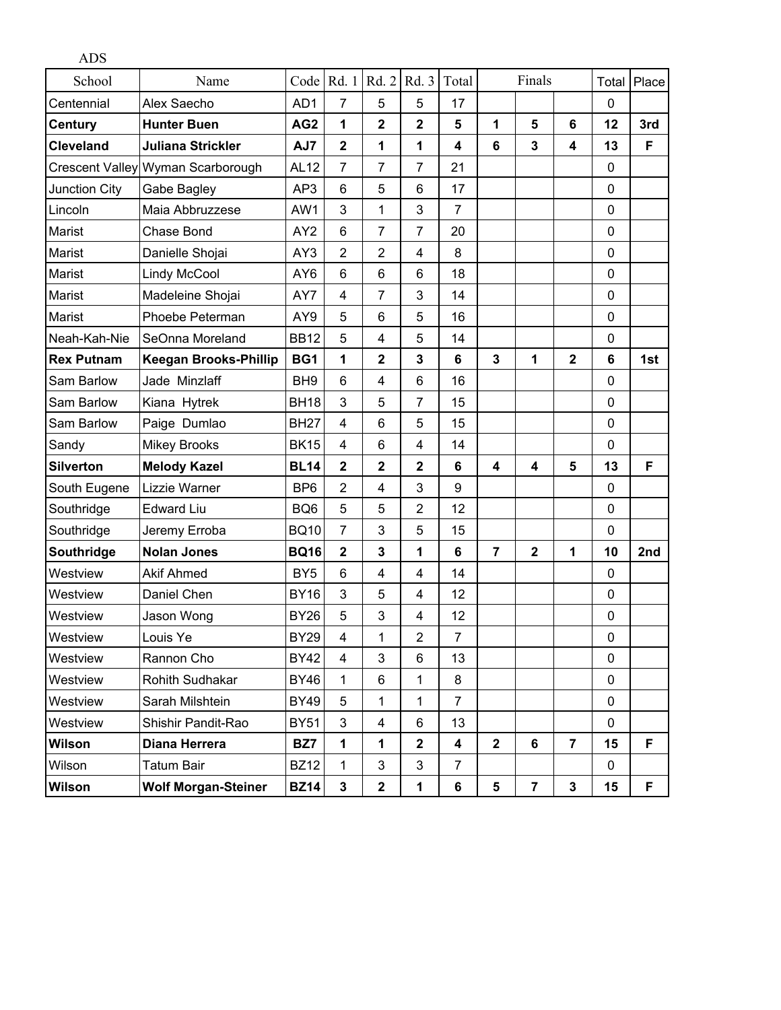| <b>ADS</b>        |                                   |                 |                         |                 |                         |                         |                |                         |                         |              |       |
|-------------------|-----------------------------------|-----------------|-------------------------|-----------------|-------------------------|-------------------------|----------------|-------------------------|-------------------------|--------------|-------|
| School            | Name                              | Code            | Rd. 1                   | Rd. 2           | Rd. 3                   | Total                   |                | Finals                  |                         | Total        | Place |
| Centennial        | Alex Saecho                       | AD1             | 7                       | 5               | 5                       | 17                      |                |                         |                         | $\mathbf 0$  |       |
| <b>Century</b>    | <b>Hunter Buen</b>                | AG <sub>2</sub> | 1                       | $\overline{2}$  | 2                       | 5                       | 1              | 5                       | 6                       | 12           | 3rd   |
| <b>Cleveland</b>  | <b>Juliana Strickler</b>          | AJ7             | $\overline{\mathbf{2}}$ | 1               | 1                       | 4                       | 6              | $\overline{3}$          | $\overline{\mathbf{4}}$ | 13           | F     |
|                   | Crescent Valley Wyman Scarborough | <b>AL12</b>     | $\overline{7}$          | $\overline{7}$  | $\overline{7}$          | 21                      |                |                         |                         | $\mathbf 0$  |       |
| Junction City     | Gabe Bagley                       | AP3             | 6                       | 5               | 6                       | 17                      |                |                         |                         | $\mathbf 0$  |       |
| Lincoln           | Maia Abbruzzese                   | AW1             | 3                       | 1               | 3                       | $\overline{7}$          |                |                         |                         | $\mathbf 0$  |       |
| Marist            | <b>Chase Bond</b>                 | AY <sub>2</sub> | 6                       | $\overline{7}$  | $\overline{7}$          | 20                      |                |                         |                         | $\mathbf 0$  |       |
| Marist            | Danielle Shojai                   | AY3             | $\overline{2}$          | $\overline{2}$  | $\overline{4}$          | 8                       |                |                         |                         | 0            |       |
| Marist            | <b>Lindy McCool</b>               | AY <sub>6</sub> | 6                       | 6               | 6                       | 18                      |                |                         |                         | $\mathbf 0$  |       |
| Marist            | Madeleine Shojai                  | AY7             | 4                       | $\overline{7}$  | 3                       | 14                      |                |                         |                         | 0            |       |
| Marist            | Phoebe Peterman                   | AY9             | 5                       | 6               | 5                       | 16                      |                |                         |                         | $\mathbf 0$  |       |
| Neah-Kah-Nie      | SeOnna Moreland                   | <b>BB12</b>     | 5                       | 4               | 5                       | 14                      |                |                         |                         | $\mathbf 0$  |       |
| <b>Rex Putnam</b> | <b>Keegan Brooks-Phillip</b>      | BG1             | 1                       | $\mathbf{2}$    | 3                       | 6                       | 3              | 1                       | $\overline{2}$          | 6            | 1st   |
| Sam Barlow        | Jade Minzlaff                     | BH <sub>9</sub> | 6                       | 4               | 6                       | 16                      |                |                         |                         | $\mathbf 0$  |       |
| Sam Barlow        | Kiana Hytrek                      | <b>BH18</b>     | 3                       | 5               | $\overline{7}$          | 15                      |                |                         |                         | $\mathbf 0$  |       |
| Sam Barlow        | Paige Dumlao                      | <b>BH27</b>     | 4                       | $6\phantom{1}6$ | 5                       | 15                      |                |                         |                         | $\mathbf 0$  |       |
| Sandy             | <b>Mikey Brooks</b>               | <b>BK15</b>     | 4                       | 6               | $\overline{4}$          | 14                      |                |                         |                         | $\mathbf 0$  |       |
| <b>Silverton</b>  | <b>Melody Kazel</b>               | <b>BL14</b>     | $\mathbf 2$             | $\mathbf{2}$    | $\overline{\mathbf{2}}$ | 6                       | 4              | 4                       | 5                       | 13           | F     |
| South Eugene      | Lizzie Warner                     | B <sub>P6</sub> | $\overline{2}$          | 4               | 3                       | 9                       |                |                         |                         | $\mathbf{0}$ |       |
| Southridge        | <b>Edward Liu</b>                 | BQ <sub>6</sub> | 5                       | 5               | 2                       | 12                      |                |                         |                         | $\mathbf 0$  |       |
| Southridge        | Jeremy Erroba                     | <b>BQ10</b>     | $\overline{7}$          | 3               | 5                       | 15                      |                |                         |                         | $\mathbf 0$  |       |
| Southridge        | <b>Nolan Jones</b>                | <b>BQ16</b>     | $\overline{2}$          | 3               | 1                       | 6                       | $\overline{7}$ | $\overline{2}$          | 1                       | 10           | 2nd   |
| Westview          | <b>Akif Ahmed</b>                 | BY <sub>5</sub> | 6                       | 4               | $\overline{4}$          | 14                      |                |                         |                         | 0            |       |
| Westview          | Daniel Chen                       | <b>BY16</b>     | 3                       | 5               | 4                       | 12                      |                |                         |                         | $\pmb{0}$    |       |
| Westview          | Jason Wong                        | <b>BY26</b>     | 5                       | 3               | 4                       | 12                      |                |                         |                         | 0            |       |
| Westview          | Louis Ye                          | <b>BY29</b>     | 4                       | $\mathbf{1}$    | $\overline{2}$          | $\overline{7}$          |                |                         |                         | $\mathbf 0$  |       |
| Westview          | Rannon Cho                        | <b>BY42</b>     | 4                       | 3               | 6                       | 13                      |                |                         |                         | 0            |       |
| Westview          | Rohith Sudhakar                   | <b>BY46</b>     | 1                       | 6               | 1                       | 8                       |                |                         |                         | 0            |       |
| Westview          | Sarah Milshtein                   | <b>BY49</b>     | 5                       | 1               | 1                       | $\overline{7}$          |                |                         |                         | 0            |       |
| Westview          | Shishir Pandit-Rao                | <b>BY51</b>     | 3                       | 4               | 6                       | 13                      |                |                         |                         | $\mathbf 0$  |       |
| <b>Wilson</b>     | Diana Herrera                     | BZ7             | $\mathbf{1}$            | $\mathbf{1}$    | $\overline{\mathbf{2}}$ | $\overline{\mathbf{4}}$ | $\mathbf 2$    | 6                       | $\overline{7}$          | 15           | F     |
| Wilson            | <b>Tatum Bair</b>                 | <b>BZ12</b>     | $\mathbf 1$             | $\mathbf{3}$    | $\mathfrak{S}$          | $\overline{7}$          |                |                         |                         | $\mathbf 0$  |       |
| Wilson            | <b>Wolf Morgan-Steiner</b>        | <b>BZ14</b>     | 3                       | $\mathbf 2$     | 1                       | 6                       | 5              | $\overline{\mathbf{7}}$ | 3                       | 15           | F     |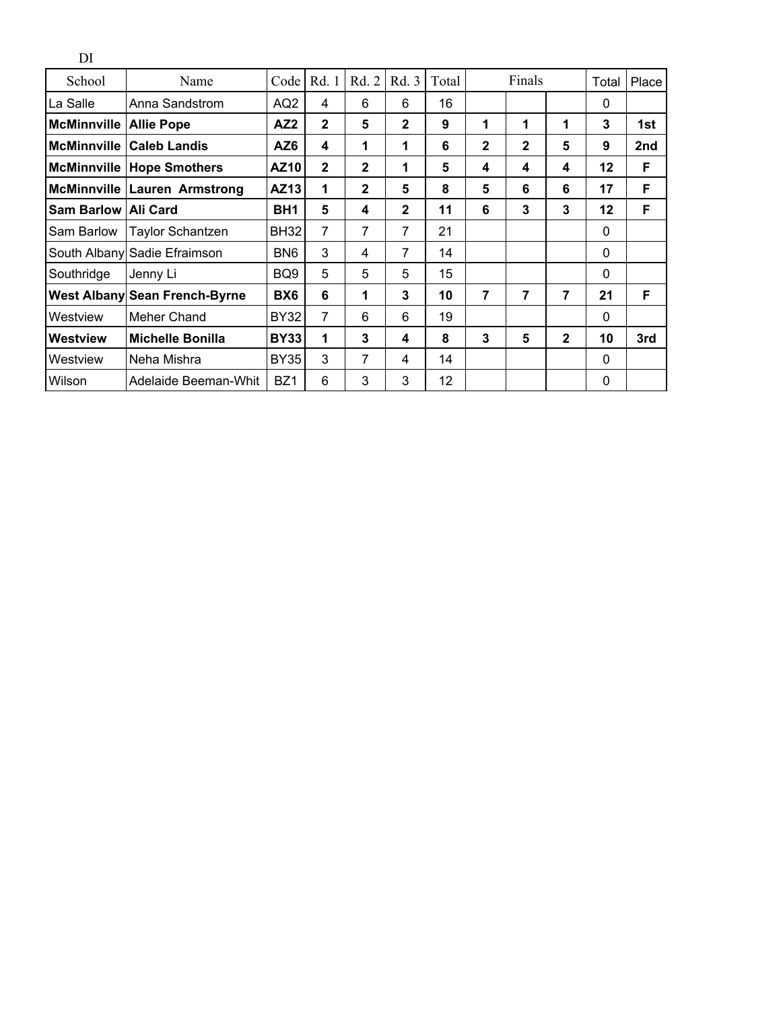| DI                            |                                     |                 |              |              |              |       |              |              |              |             |       |
|-------------------------------|-------------------------------------|-----------------|--------------|--------------|--------------|-------|--------------|--------------|--------------|-------------|-------|
| School                        | Name                                | Code            | Rd. 1        | Rd. 2        | Rd. 3        | Total |              | Finals       |              | Total       | Place |
| La Salle                      | Anna Sandstrom                      | AQ2             | 4            | 6            | 6            | 16    |              |              |              | 0           |       |
| <b>McMinnville Allie Pope</b> |                                     | AZ <sub>2</sub> | $\mathbf{2}$ | 5            | $\mathbf{2}$ | 9     | 1            | 1            | 1            | 3           | 1st   |
|                               | <b>McMinnville Caleb Landis</b>     | AZ6             | 4            | 1            | 1            | 6     | $\mathbf{2}$ | $\mathbf{2}$ | 5            | 9           | 2nd   |
|                               | <b>McMinnville Hope Smothers</b>    | <b>AZ10</b>     | $\mathbf{2}$ | $\mathbf{2}$ | 1            | 5     | 4            | 4            | 4            | 12          | F     |
|                               | <b>McMinnville Lauren Armstrong</b> | AZ13            | 1            | $\mathbf{2}$ | 5            | 8     | 5            | 6            | 6            | 17          | F     |
| Sam Barlow Ali Card           |                                     | BH <sub>1</sub> | 5            | 4            | $\mathbf{2}$ | 11    | 6            | 3            | 3            | 12          | F     |
| Sam Barlow                    | <b>Taylor Schantzen</b>             | <b>BH32</b>     | 7            | 7            | 7            | 21    |              |              |              | $\mathbf 0$ |       |
|                               | South Albany Sadie Efraimson        | BN <sub>6</sub> | 3            | 4            | 7            | 14    |              |              |              | 0           |       |
| Southridge                    | Jenny Li                            | BQ <sub>9</sub> | 5            | 5            | 5            | 15    |              |              |              | 0           |       |
|                               | West Albany Sean French-Byrne       | BX6             | 6            | 1            | 3            | 10    | 7            | 7            | 7            | 21          | F     |
| Westview                      | Meher Chand                         | <b>BY32</b>     | 7            | 6            | 6            | 19    |              |              |              | 0           |       |
| Westview                      | <b>Michelle Bonilla</b>             | <b>BY33</b>     | 1            | 3            | 4            | 8     | 3            | 5            | $\mathbf{2}$ | 10          | 3rd   |
| Westview                      | Neha Mishra                         | <b>BY35</b>     | 3            | 7            | 4            | 14    |              |              |              | $\Omega$    |       |
| Wilson                        | Adelaide Beeman-Whit                | BZ <sub>1</sub> | 6            | 3            | 3            | 12    |              |              |              | 0           |       |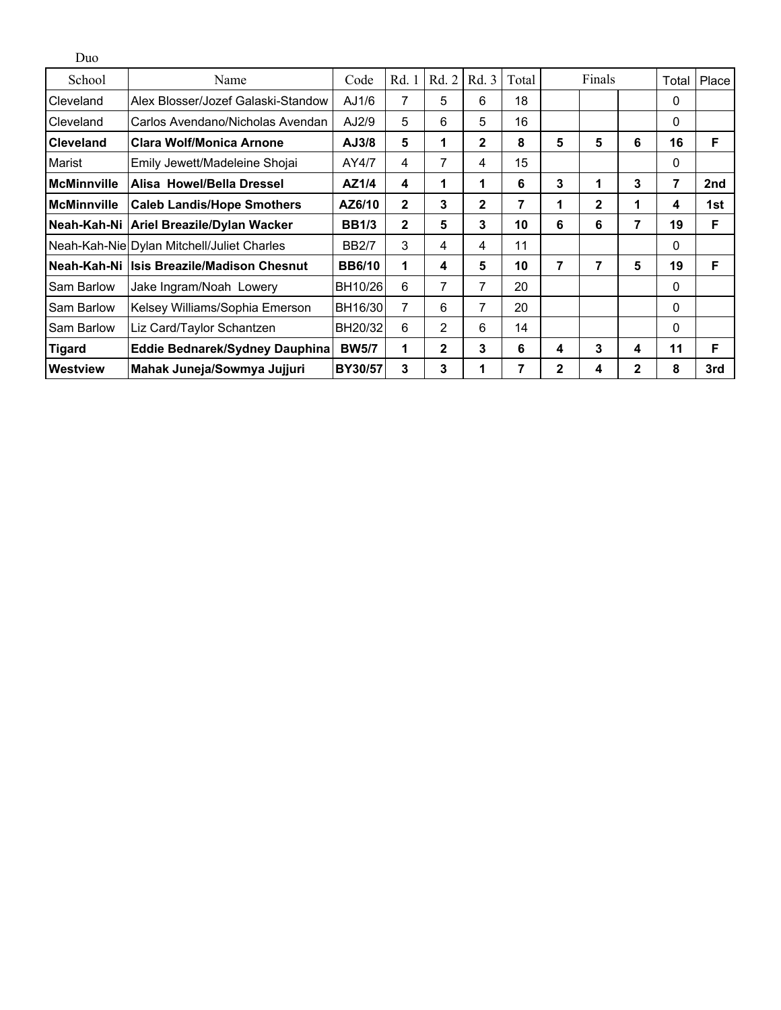| Duo                |                                            |                |              |                |              |       |                   |        |   |          |                 |
|--------------------|--------------------------------------------|----------------|--------------|----------------|--------------|-------|-------------------|--------|---|----------|-----------------|
| School             | Name                                       | Code           | Rd.          | Rd. 2          | Rd. 3        | Total |                   | Finals |   | Total    | Place           |
| Cleveland          | Alex Blosser/Jozef Galaski-Standow         | AJ1/6          | 7            | 5              | 6            | 18    |                   |        |   | 0        |                 |
| Cleveland          | Carlos Avendano/Nicholas Avendan           | AJ2/9          | 5            | 6              | 5            | 16    |                   |        |   | 0        |                 |
| <b>Cleveland</b>   | <b>Clara Wolf/Monica Arnone</b>            | AJ3/8          | 5            | $\mathbf 1$    | $\mathbf{2}$ | 8     | 5                 | 5      | 6 | 16       | F               |
| Marist             | Emily Jewett/Madeleine Shojai              | AY4/7          | 4            | 7              | 4            | 15    |                   |        |   | 0        |                 |
| <b>McMinnville</b> | Alisa Howel/Bella Dressel                  | AZ1/4          | 4            | 1              | 1            | 6     | 3                 | 1      | 3 | 7        | 2 <sub>nd</sub> |
| <b>McMinnville</b> | <b>Caleb Landis/Hope Smothers</b>          | AZ6/10         | $\mathbf{2}$ | 3              | $\mathbf{2}$ | 7     | $\mathbf{2}$<br>1 |        | 1 | 4        | 1st             |
| Neah-Kah-Ni        | Ariel Breazile/Dylan Wacker                | <b>BB1/3</b>   | $\mathbf{2}$ | 5              | 3            | 10    | 7<br>6<br>6       |        |   | 19       | F               |
|                    | Neah-Kah-Nie Dylan Mitchell/Juliet Charles | <b>BB2/7</b>   | 3            | 4              | 4            | 11    |                   |        |   | 0        |                 |
| Neah-Kah-Ni        | <b>Isis Breazile/Madison Chesnut</b>       | <b>BB6/10</b>  | 1            | 4              | 5            | 10    | 7                 | 7      | 5 | 19       | F               |
| Sam Barlow         | Jake Ingram/Noah Lowery                    | BH10/26        | 6            | 7              | 7            | 20    |                   |        |   | 0        |                 |
| Sam Barlow         | Kelsey Williams/Sophia Emerson             | BH16/30        | 7            | 6              | 7            | 20    |                   |        |   | 0        |                 |
| Sam Barlow         | Liz Card/Taylor Schantzen                  | BH20/32        | 6            | $\overline{2}$ | 6            | 14    |                   |        |   | $\Omega$ |                 |
| <b>Tigard</b>      | Eddie Bednarek/Sydney Dauphina             | <b>BW5/7</b>   | 1            | $\mathbf{2}$   | 3            | 6     | 4                 | 3      | 4 | 11       | F               |
| Westview           | Mahak Juneja/Sowmya Jujjuri                | <b>BY30/57</b> | 3            | 3              |              | 7     | $\mathbf{2}$      | 4      | 2 | 8        | 3rd             |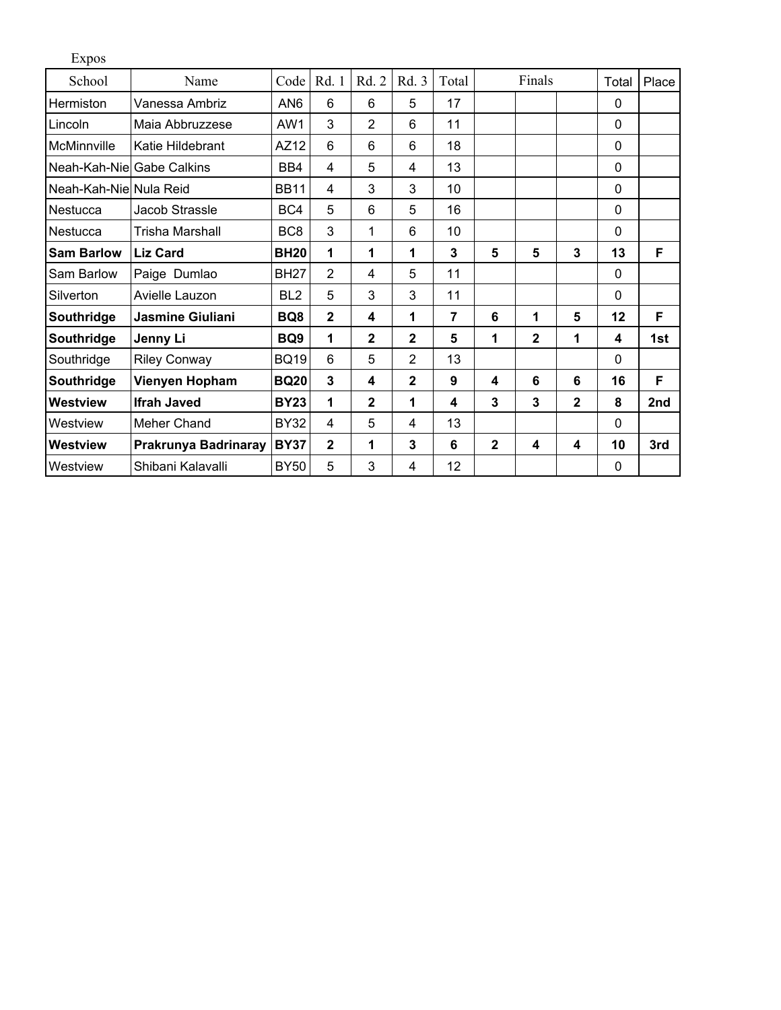| <b>Expos</b>              |                         |                 |                |                |                |                |                |                |              |             |                 |
|---------------------------|-------------------------|-----------------|----------------|----------------|----------------|----------------|----------------|----------------|--------------|-------------|-----------------|
| School                    | Name                    | Code            | Rd. 1          | Rd. 2          | Rd. 3          | Total          |                | Finals         |              | Total       | Place           |
| Hermiston                 | Vanessa Ambriz          | AN <sub>6</sub> | 6              | 6              | 5              | 17             |                |                |              | $\mathbf 0$ |                 |
| Lincoln                   | Maia Abbruzzese         | AW1             | 3              | $\overline{2}$ | 6              | 11             |                |                |              | $\Omega$    |                 |
| McMinnville               | Katie Hildebrant        | AZ12            | 6              | 6              | 6              | 18             |                |                |              | $\Omega$    |                 |
| Neah-Kah-Nie Gabe Calkins |                         | BB4             | 4              | 5              | 4              | 13             |                |                |              | $\mathbf 0$ |                 |
| Neah-Kah-Niel Nula Reid   |                         | <b>BB11</b>     | 4              | 3              | 3              | 10             |                |                |              | $\mathbf 0$ |                 |
| Nestucca                  | Jacob Strassle          | BC4             | 5              | 6              | 5              | 16             |                |                |              | $\mathbf 0$ |                 |
| Nestucca                  | Trisha Marshall         | BC <sub>8</sub> | 3              | 1              | 6              | 10             |                |                |              | $\mathbf 0$ |                 |
| <b>Sam Barlow</b>         | <b>Liz Card</b>         | <b>BH20</b>     | 1              | 1              | 1              | 3              | 5              | 5              | 3            | 13          | F               |
| Sam Barlow                | Paige Dumlao            | <b>BH27</b>     | $\overline{2}$ | 4              | 5              | 11             |                |                |              | $\Omega$    |                 |
| Silverton                 | Avielle Lauzon          | BL <sub>2</sub> | 5              | 3              | 3              | 11             |                |                |              | $\Omega$    |                 |
| Southridge                | <b>Jasmine Giuliani</b> | BQ8             | $\mathbf{2}$   | 4              | 1              | $\overline{7}$ | 6              | 1              | 5            | 12          | F               |
| Southridge                | Jenny Li                | BQ <sub>9</sub> | 1              | $\overline{2}$ | $\mathbf{2}$   | 5              | 1              | $\overline{2}$ | 1            | 4           | 1st             |
| Southridge                | <b>Riley Conway</b>     | <b>BQ19</b>     | $6\phantom{1}$ | 5              | $\overline{2}$ | 13             |                |                |              | $\mathbf 0$ |                 |
| Southridge                | Vienyen Hopham          | <b>BQ20</b>     | 3              | 4              | $\mathbf{2}$   | 9              | 4              | 6              | 6            | 16          | F               |
| Westview                  | <b>Ifrah Javed</b>      | <b>BY23</b>     | 1              | $\overline{2}$ | 1              | 4              | 3              | 3              | $\mathbf{2}$ | 8           | 2 <sub>nd</sub> |
| Westview                  | Meher Chand             | <b>BY32</b>     | $\overline{4}$ | 5              | 4              | 13             |                |                |              | $\Omega$    |                 |
| Westview                  | Prakrunya Badrinaray    | <b>BY37</b>     | $\mathbf{2}$   | 1              | 3              | 6              | $\overline{2}$ | 4              | 4            | 10          | 3rd             |
| Westview                  | Shibani Kalavalli       | <b>BY50</b>     | 5              | 3              | 4              | 12             |                |                |              | $\mathbf 0$ |                 |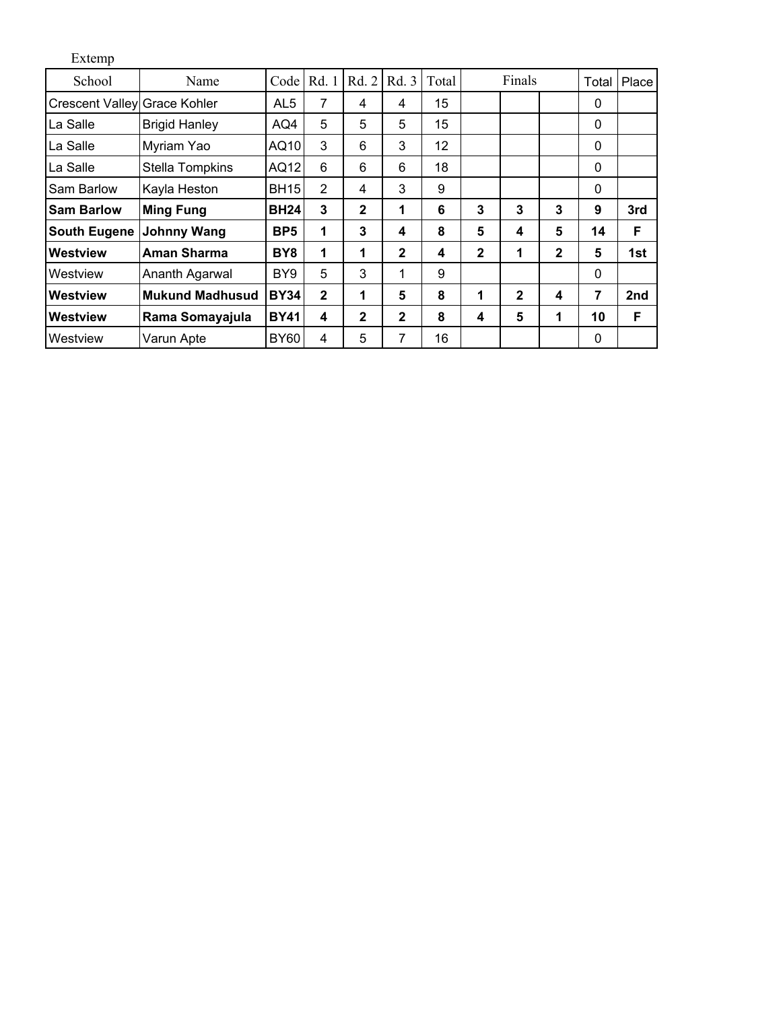| Extemp                       |                        |                 |              |              |              |       |              |              |              |              |       |
|------------------------------|------------------------|-----------------|--------------|--------------|--------------|-------|--------------|--------------|--------------|--------------|-------|
| School                       | Name                   | Code            | Rd. 1        | Rd. 2        | Rd. 3        | Total |              | Finals       |              | Total        | Place |
| Crescent Valley Grace Kohler |                        | AL5             | 7            | 4            | 4            | 15    |              |              |              | 0            |       |
| La Salle                     | <b>Brigid Hanley</b>   | AQ4             | 5            | 5            | 5            | 15    |              |              |              | $\mathbf{0}$ |       |
| La Salle                     | Myriam Yao             | AQ10            | 3            | 6            | 3            | 12    |              |              |              | $\mathbf 0$  |       |
| La Salle                     | Stella Tompkins        | AQ12            | 6            | 6            | 6            | 18    |              |              |              | $\mathbf 0$  |       |
| Sam Barlow                   | Kayla Heston           | <b>BH15</b>     | 2            | 4            | 3            | 9     |              |              |              | $\mathbf{0}$ |       |
| <b>Sam Barlow</b>            | <b>Ming Fung</b>       | <b>BH24</b>     | 3            | $\mathbf{2}$ | 1            | 6     | 3            | 3            | 3            | 9            | 3rd   |
| <b>South Eugene</b>          | <b>Johnny Wang</b>     | BP <sub>5</sub> | 1            | 3            | 4            | 8     | 5            | 4            | 5            | 14           | F     |
| <b>Westview</b>              | <b>Aman Sharma</b>     | BY <sub>8</sub> | 1            | 1            | $\mathbf{2}$ | 4     | $\mathbf{2}$ | 1            | $\mathbf{2}$ | 5            | 1st   |
| Westview                     | Ananth Agarwal         | BY9             | 5            | 3            | 1            | 9     |              |              |              | $\mathbf 0$  |       |
| Westview                     | <b>Mukund Madhusud</b> | <b>BY34</b>     | $\mathbf{2}$ | 1            | 5            | 8     | 1            | $\mathbf{2}$ | 4            | 7            | 2nd   |
| Westview                     | Rama Somayajula        | <b>BY41</b>     | 4            | $\mathbf{2}$ | $\mathbf{2}$ | 8     | 4            | 5            | 1            | 10           | F     |
| Westview                     | Varun Apte             | <b>BY60</b>     | 4            | 5            | 7            | 16    |              |              |              | $\mathbf 0$  |       |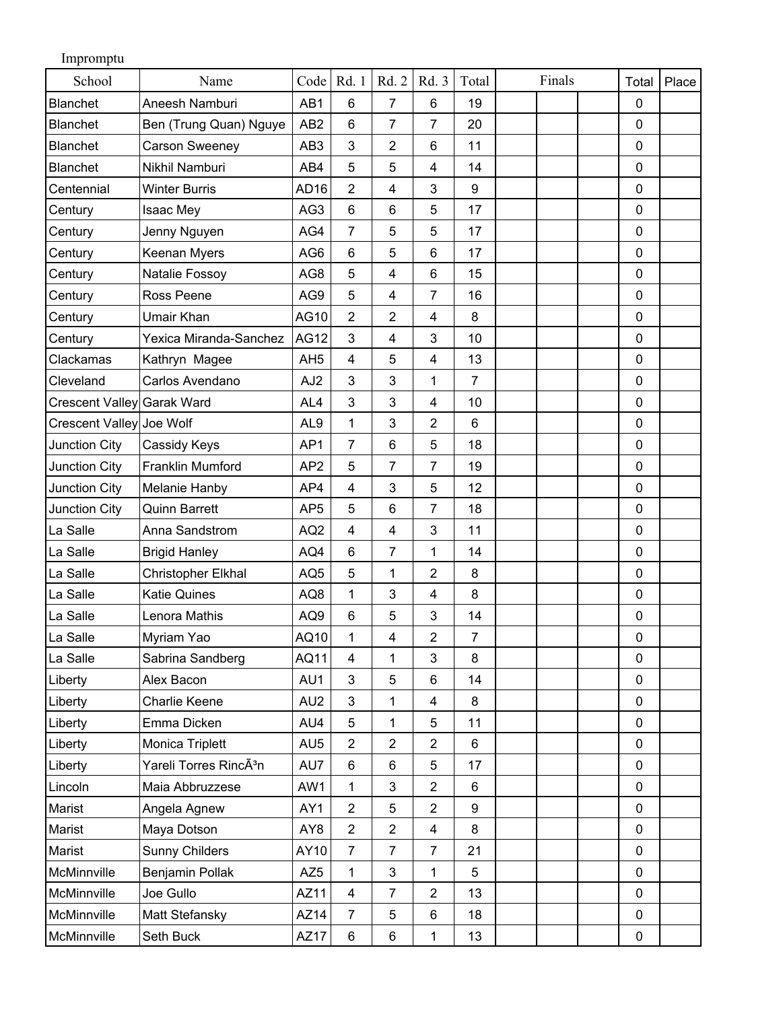| Impromptu                  |                                    |                  |                |                         |                         |                |        |                |       |
|----------------------------|------------------------------------|------------------|----------------|-------------------------|-------------------------|----------------|--------|----------------|-------|
| School                     | Name                               | Code             | Rd. 1          | Rd. 2                   | Rd. 3                   | Total          | Finals | Total          | Place |
| <b>Blanchet</b>            | Aneesh Namburi                     | AB1              | 6              | $\overline{7}$          | 6                       | 19             |        | $\mathbf 0$    |       |
| <b>Blanchet</b>            | Ben (Trung Quan) Nguye             | AB <sub>2</sub>  | 6              | $\overline{7}$          | $\overline{7}$          | 20             |        | $\mathbf 0$    |       |
| <b>Blanchet</b>            | <b>Carson Sweeney</b>              | AB <sub>3</sub>  | 3              | $\overline{2}$          | 6                       | 11             |        | $\mathbf 0$    |       |
| <b>Blanchet</b>            | Nikhil Namburi                     | AB4              | 5              | 5                       | 4                       | 14             |        | $\mathbf 0$    |       |
| Centennial                 | <b>Winter Burris</b>               | AD <sub>16</sub> | 2              | $\overline{\mathbf{4}}$ | 3                       | 9              |        | $\mathbf 0$    |       |
| Century                    | Isaac Mey                          | AG3              | 6              | 6                       | 5                       | 17             |        | $\mathbf 0$    |       |
| Century                    | Jenny Nguyen                       | AG4              | $\overline{7}$ | 5                       | 5                       | 17             |        | $\mathbf 0$    |       |
| Century                    | Keenan Myers                       | AG <sub>6</sub>  | 6              | 5                       | 6                       | 17             |        | $\mathbf 0$    |       |
| Century                    | Natalie Fossoy                     | AG8              | 5              | 4                       | 6                       | 15             |        | $\mathbf 0$    |       |
| Century                    | Ross Peene                         | AG9              | 5              | $\overline{4}$          | $\overline{7}$          | 16             |        | $\mathbf 0$    |       |
| Century                    | <b>Umair Khan</b>                  | AG10             | $\overline{2}$ | $\overline{2}$          | 4                       | 8              |        | $\mathbf 0$    |       |
| Century                    | Yexica Miranda-Sanchez             | <b>AG12</b>      | 3              | 4                       | 3                       | 10             |        | $\mathbf 0$    |       |
| Clackamas                  | Kathryn Magee                      | AH <sub>5</sub>  | 4              | 5                       | 4                       | 13             |        | $\mathbf 0$    |       |
| Cleveland                  | Carlos Avendano                    | AJ <sub>2</sub>  | 3              | 3                       | 1                       | $\overline{7}$ |        | $\mathbf 0$    |       |
| Crescent Valley Garak Ward |                                    | AL4              | 3              | 3                       | 4                       | 10             |        | $\mathbf 0$    |       |
| Crescent Valley Joe Wolf   |                                    | AL <sub>9</sub>  | $\mathbf{1}$   | 3                       | $\overline{2}$          | 6              |        | $\overline{0}$ |       |
| Junction City              | Cassidy Keys                       | AP1              | $\overline{7}$ | 6                       | 5                       | 18             |        | $\mathbf 0$    |       |
| Junction City              | Franklin Mumford                   | AP <sub>2</sub>  | 5              | $\overline{7}$          | $\overline{7}$          | 19             |        | $\mathbf 0$    |       |
| Junction City              | Melanie Hanby                      | AP4              | 4              | 3                       | 5                       | 12             |        | $\mathbf 0$    |       |
| Junction City              | <b>Quinn Barrett</b>               | AP <sub>5</sub>  | 5              | 6                       | $\overline{7}$          | 18             |        | $\mathbf 0$    |       |
| La Salle                   | Anna Sandstrom                     | AQ <sub>2</sub>  | $\overline{4}$ | 4                       | $\mathbf{3}$            | 11             |        | $\mathbf 0$    |       |
| La Salle                   | <b>Brigid Hanley</b>               | AQ4              | 6              | $\overline{7}$          | 1                       | 14             |        | $\mathbf 0$    |       |
| La Salle                   | Christopher Elkhal                 | AQ <sub>5</sub>  | 5              | 1                       | $\boldsymbol{2}$        | 8              |        | $\mathbf 0$    |       |
| La Salle                   | <b>Katie Quines</b>                | AQ8              | 1              | $\mathbf{3}$            | 4                       | 8              |        | $\mathbf 0$    |       |
| La Salle                   | Lenora Mathis                      | AQ9              | 6              | 5                       | 3                       | 14             |        | $\mathbf 0$    |       |
| La Salle                   | Myriam Yao                         | AQ10             | 1              | $\overline{\mathbf{4}}$ | $\overline{2}$          | $\overline{7}$ |        | $\mathbf 0$    |       |
| La Salle                   | Sabrina Sandberg                   | AQ11             | $\overline{4}$ | 1                       | $\mathbf{3}$            | 8              |        | $\mathbf 0$    |       |
| Liberty                    | Alex Bacon                         | AU1              | 3              | 5                       | $\,6$                   | 14             |        | $\mathbf 0$    |       |
| Liberty                    | Charlie Keene                      | AU <sub>2</sub>  | 3              | 1                       | $\overline{\mathbf{4}}$ | 8              |        | $\mathbf 0$    |       |
| Liberty                    | Emma Dicken                        | AU4              | 5              | 1                       | 5                       | 11             |        | $\mathbf 0$    |       |
| Liberty                    | Monica Triplett                    | AU <sub>5</sub>  | $\overline{2}$ | $\overline{2}$          | $\overline{2}$          | 6              |        | $\mathbf 0$    |       |
| Liberty                    | Yareli Torres RincÃ <sup>3</sup> n | AU7              | 6              | 6                       | 5                       | 17             |        | $\mathbf 0$    |       |
| Lincoln                    | Maia Abbruzzese                    | AW1              | 1              | 3                       | $\overline{2}$          | 6              |        | $\mathbf 0$    |       |
| Marist                     | Angela Agnew                       | AY1              | $\overline{2}$ | 5                       | $\overline{2}$          | 9              |        | $\mathbf 0$    |       |
| Marist                     | Maya Dotson                        | AY8              | $\overline{2}$ | $\overline{2}$          | $\overline{\mathbf{4}}$ | 8              |        | $\mathbf 0$    |       |
| Marist                     | <b>Sunny Childers</b>              | AY10             | $\overline{7}$ | $\overline{7}$          | $\overline{7}$          | 21             |        | $\mathbf 0$    |       |
| McMinnville                | Benjamin Pollak                    | AZ <sub>5</sub>  | 1              | 3                       | 1                       | 5              |        | 0              |       |
| McMinnville                | Joe Gullo                          | AZ11             | 4              | $\overline{7}$          | $\overline{2}$          | 13             |        | $\mathbf 0$    |       |
| McMinnville                | Matt Stefansky                     | AZ14             | $\overline{7}$ | 5                       | 6                       | 18             |        | $\mathbf 0$    |       |
| McMinnville                | Seth Buck                          | AZ17             | 6              | 6                       | $\mathbf 1$             | 13             |        | $\pmb{0}$      |       |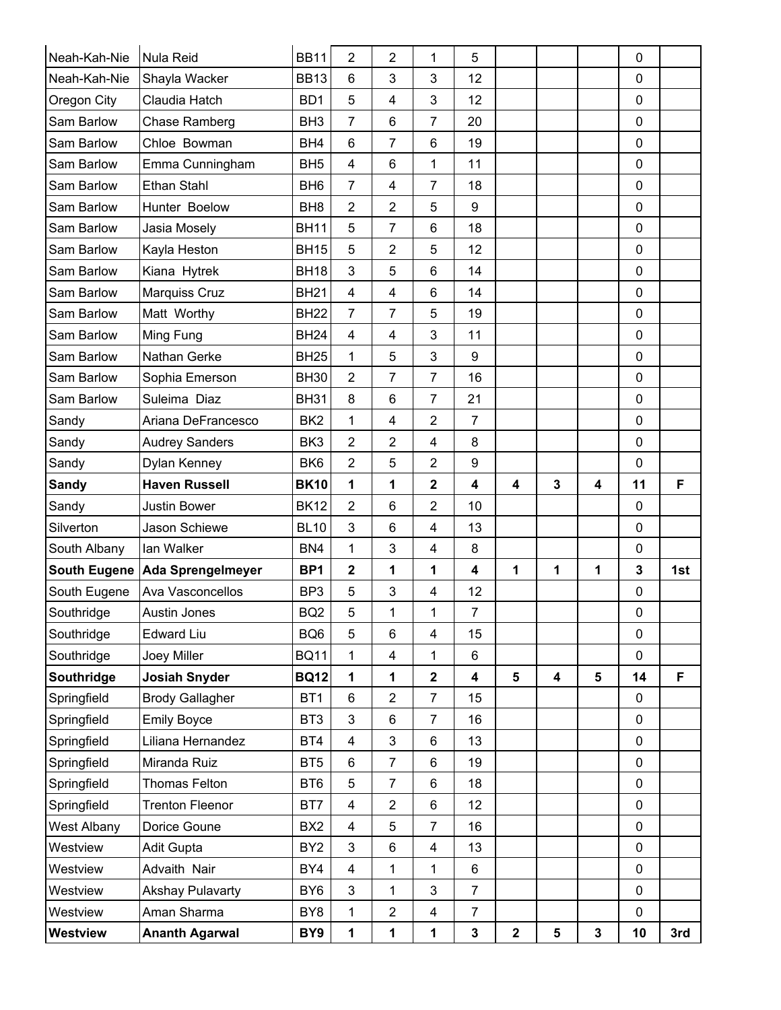| Neah-Kah-Nie       | <b>Nula Reid</b>               | <b>BB11</b>     | $\overline{2}$          | $\overline{2}$ | 1                       | 5                       |             |                         |   | $\mathbf 0$  |     |
|--------------------|--------------------------------|-----------------|-------------------------|----------------|-------------------------|-------------------------|-------------|-------------------------|---|--------------|-----|
| Neah-Kah-Nie       | Shayla Wacker                  | <b>BB13</b>     | 6                       | 3              | 3                       | 12                      |             |                         |   | $\mathbf 0$  |     |
| Oregon City        | Claudia Hatch                  | BD <sub>1</sub> | 5                       | 4              | 3                       | 12                      |             |                         |   | 0            |     |
| Sam Barlow         | <b>Chase Ramberg</b>           | BH <sub>3</sub> | 7                       | 6              | $\overline{7}$          | 20                      |             |                         |   | $\mathbf 0$  |     |
| Sam Barlow         | Chloe Bowman                   | BH4             | 6                       | $\overline{7}$ | 6                       | 19                      |             |                         |   | $\mathbf 0$  |     |
| Sam Barlow         | Emma Cunningham                | BH <sub>5</sub> | $\overline{4}$          | 6              | 1                       | 11                      |             |                         |   | $\mathbf 0$  |     |
| Sam Barlow         | Ethan Stahl                    | BH <sub>6</sub> | $\overline{7}$          | 4              | $\overline{7}$          | 18                      |             |                         |   | 0            |     |
| Sam Barlow         | Hunter Boelow                  | BH <sub>8</sub> | $\overline{2}$          | $\overline{2}$ | 5                       | 9                       |             |                         |   | $\mathbf 0$  |     |
| Sam Barlow         | Jasia Mosely                   | <b>BH11</b>     | 5                       | $\overline{7}$ | 6                       | 18                      |             |                         |   | $\mathbf 0$  |     |
| Sam Barlow         | Kayla Heston                   | <b>BH15</b>     | 5                       | $\overline{2}$ | 5                       | 12                      |             |                         |   | $\mathbf 0$  |     |
| Sam Barlow         | Kiana Hytrek                   | <b>BH18</b>     | 3                       | 5              | 6                       | 14                      |             |                         |   | $\mathbf 0$  |     |
| Sam Barlow         | Marquiss Cruz                  | <b>BH21</b>     | 4                       | 4              | 6                       | 14                      |             |                         |   | $\mathbf 0$  |     |
| Sam Barlow         | Matt Worthy                    | <b>BH22</b>     | 7                       | $\overline{7}$ | 5                       | 19                      |             |                         |   | $\mathbf 0$  |     |
| Sam Barlow         | Ming Fung                      | <b>BH24</b>     | $\overline{4}$          | $\overline{4}$ | $\mathbf{3}$            | 11                      |             |                         |   | $\mathbf 0$  |     |
| Sam Barlow         | Nathan Gerke                   | <b>BH25</b>     | 1                       | 5              | 3                       | 9                       |             |                         |   | $\mathbf 0$  |     |
| Sam Barlow         | Sophia Emerson                 | <b>BH30</b>     | $\overline{2}$          | $\overline{7}$ | $\overline{7}$          | 16                      |             |                         |   | $\mathbf 0$  |     |
| Sam Barlow         | Suleima Diaz                   | <b>BH31</b>     | 8                       | 6              | $\overline{7}$          | 21                      |             |                         |   | $\mathbf 0$  |     |
| Sandy              | Ariana DeFrancesco             | BK <sub>2</sub> | 1                       | 4              | $\overline{2}$          | 7                       |             |                         |   | $\mathbf 0$  |     |
| Sandy              | <b>Audrey Sanders</b>          | BK <sub>3</sub> | 2                       | $\overline{2}$ | 4                       | 8                       |             |                         |   | $\mathbf 0$  |     |
| Sandy              | Dylan Kenney                   | BK <sub>6</sub> | $\overline{2}$          | 5              | $\overline{2}$          | 9                       |             |                         |   | $\mathbf 0$  |     |
| <b>Sandy</b>       | <b>Haven Russell</b>           | <b>BK10</b>     | 1                       | 1              | $\mathbf{2}$            | 4                       | 4           | $\mathbf{3}$            | 4 | 11           | F   |
| Sandy              | <b>Justin Bower</b>            | <b>BK12</b>     | $\overline{2}$          | 6              | $\overline{2}$          | 10                      |             |                         |   | 0            |     |
| Silverton          | Jason Schiewe                  | <b>BL10</b>     | 3                       | 6              | 4                       | 13                      |             |                         |   | $\mathbf 0$  |     |
| South Albany       | lan Walker                     | BN4             | 1                       | 3              | 4                       | 8                       |             |                         |   | $\mathbf 0$  |     |
|                    | South Eugene Ada Sprengelmeyer | BP <sub>1</sub> | $\overline{\mathbf{2}}$ | 1              | 1                       | 4                       | 1           | 1                       | 1 | $\mathbf{3}$ | 1st |
| South Eugene       | Ava Vasconcellos               | BP <sub>3</sub> | 5                       | 3              | 4                       | 12                      |             |                         |   | $\pmb{0}$    |     |
| Southridge         | Austin Jones                   | BQ <sub>2</sub> | 5                       | 1              | 1                       | 7                       |             |                         |   | 0            |     |
| Southridge         | <b>Edward Liu</b>              | BQ <sub>6</sub> | 5                       | 6              | 4                       | 15                      |             |                         |   | 0            |     |
| Southridge         | Joey Miller                    | <b>BQ11</b>     | 1                       | 4              | $\mathbf{1}$            | 6                       |             |                         |   | $\mathbf 0$  |     |
| Southridge         | <b>Josiah Snyder</b>           | <b>BQ12</b>     | 1                       | 1              | $\mathbf 2$             | $\overline{\mathbf{4}}$ | 5           | $\overline{\mathbf{4}}$ | 5 | 14           | F   |
| Springfield        | <b>Brody Gallagher</b>         | BT <sub>1</sub> | 6                       | $\overline{2}$ | $\overline{7}$          | 15                      |             |                         |   | 0            |     |
| Springfield        | <b>Emily Boyce</b>             | BT <sub>3</sub> | 3                       | 6              | $\overline{7}$          | 16                      |             |                         |   | $\mathbf 0$  |     |
| Springfield        | Liliana Hernandez              | BT4             | 4                       | 3              | 6                       | 13                      |             |                         |   | $\pmb{0}$    |     |
| Springfield        | Miranda Ruiz                   | BT <sub>5</sub> | 6                       | $\overline{7}$ | 6                       | 19                      |             |                         |   | $\pmb{0}$    |     |
| Springfield        | Thomas Felton                  | BT <sub>6</sub> | 5                       | $\overline{7}$ | 6                       | 18                      |             |                         |   | $\mathbf 0$  |     |
| Springfield        | <b>Trenton Fleenor</b>         | BT7             | 4                       | $\overline{2}$ | 6                       | 12                      |             |                         |   | $\pmb{0}$    |     |
| <b>West Albany</b> | Dorice Goune                   | BX <sub>2</sub> | 4                       | 5              | $\overline{7}$          | 16                      |             |                         |   | $\mathbf 0$  |     |
| Westview           | Adit Gupta                     | BY <sub>2</sub> | 3                       | 6              | $\overline{\mathbf{4}}$ | 13                      |             |                         |   | $\pmb{0}$    |     |
| Westview           | Advaith Nair                   | BY4             | $\overline{\mathbf{4}}$ | 1              | $\mathbf 1$             | 6                       |             |                         |   | $\pmb{0}$    |     |
| Westview           | <b>Akshay Pulavarty</b>        | BY <sub>6</sub> | 3                       | 1              | 3                       | $\overline{7}$          |             |                         |   | $\mathbf 0$  |     |
| Westview           | Aman Sharma                    | BY <sub>8</sub> | 1                       | $\overline{2}$ | 4                       | $\overline{7}$          |             |                         |   | $\pmb{0}$    |     |
| <b>Westview</b>    | <b>Ananth Agarwal</b>          | BY9             | 1                       | 1              | 1                       | 3                       | $\mathbf 2$ | $\sqrt{5}$              | 3 | 10           | 3rd |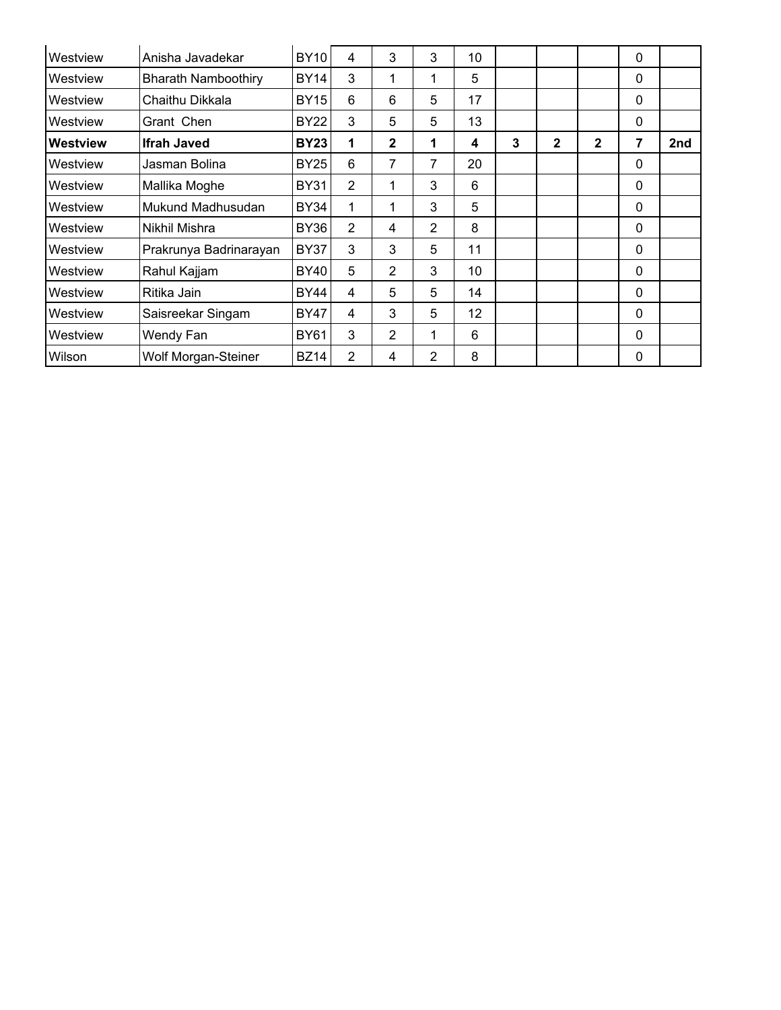| Westview        | Anisha Javadekar           | <b>BY10</b> | 4              | 3              | 3 | 10 |   |              |              | 0 |     |
|-----------------|----------------------------|-------------|----------------|----------------|---|----|---|--------------|--------------|---|-----|
| Westview        | <b>Bharath Namboothiry</b> | BY14        | 3              | 1              | 1 | 5  |   |              |              | 0 |     |
| Westview        | Chaithu Dikkala            | BY15        | 6              | 6              | 5 | 17 |   |              |              | 0 |     |
| Westview        | Grant Chen                 | BY22        | 3              | 5              | 5 | 13 |   |              |              | 0 |     |
| <b>Westview</b> | <b>Ifrah Javed</b>         | <b>BY23</b> | 1              | $\mathbf{2}$   | 1 | 4  | 3 | $\mathbf{2}$ | $\mathbf{2}$ | 7 | 2nd |
| Westview        | Jasman Bolina              | BY25        | 6              | 7              | 7 | 20 |   |              |              | 0 |     |
| Westview        | Mallika Moghe              | <b>BY31</b> | $\overline{2}$ | 1              | 3 | 6  |   |              |              | 0 |     |
| Westview        | Mukund Madhusudan          | BY34        |                | 1              | 3 | 5  |   |              |              | 0 |     |
| Westview        | Nikhil Mishra              | BY36        | $\overline{2}$ | 4              | 2 | 8  |   |              |              | 0 |     |
| Westview        | Prakrunya Badrinarayan     | <b>BY37</b> | 3              | 3              | 5 | 11 |   |              |              | 0 |     |
| Westview        | Rahul Kajjam               | BY40        | 5              | 2              | 3 | 10 |   |              |              | 0 |     |
| Westview        | Ritika Jain                | BY44        | 4              | 5              | 5 | 14 |   |              |              | 0 |     |
| Westview        | Saisreekar Singam          | <b>BY47</b> | 4              | 3              | 5 | 12 |   |              |              | 0 |     |
| Westview        | Wendy Fan                  | <b>BY61</b> | 3              | $\overline{2}$ | 1 | 6  |   |              |              | 0 |     |
| Wilson          | Wolf Morgan-Steiner        | <b>BZ14</b> | 2              | 4              | 2 | 8  |   |              |              | 0 |     |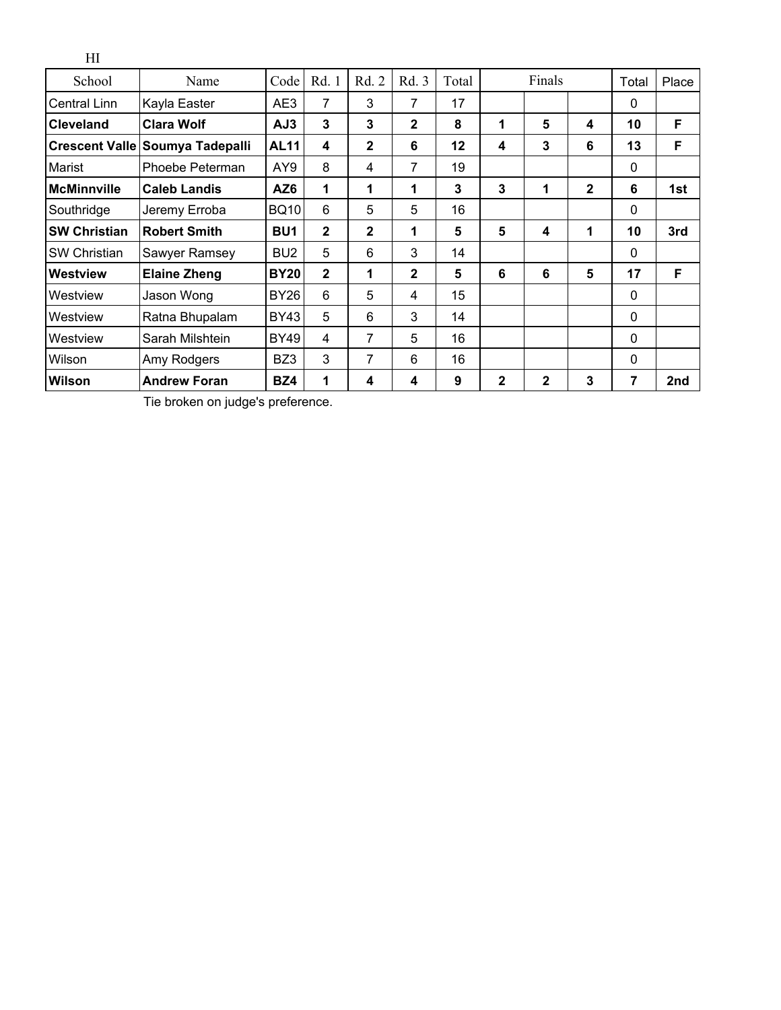| School              | Name                            | Code            | Rd. 1        | Rd. 2        | Rd. 3        | Total   |              | Finals       |              | Total    | Place |
|---------------------|---------------------------------|-----------------|--------------|--------------|--------------|---------|--------------|--------------|--------------|----------|-------|
| Central Linn        | Kayla Easter                    | AE3             | 7            | 3            | 7            | 17      |              |              |              | $\Omega$ |       |
| <b>Cleveland</b>    | <b>Clara Wolf</b>               | AJ3             | 3            | 3            | $\mathbf{2}$ | 8       | 1            | 5            | 4            | 10       | F     |
|                     | Crescent Valle Soumya Tadepalli | <b>AL11</b>     | 4            | $\mathbf{2}$ | 6            | $12 \,$ | 4            | 3            | 6            | 13       | F     |
| Marist              | Phoebe Peterman                 | AY9             | 8            | 4            | 7            | 19      |              |              |              | 0        |       |
| <b>McMinnville</b>  | <b>Caleb Landis</b>             | AZ6             | 1            | 1            | 1            | 3       | 3            | 1            | $\mathbf{2}$ | 6        | 1st   |
| Southridge          | Jeremy Erroba                   | <b>BQ10</b>     | 6            | 5            | 5            | 16      |              |              |              | $\Omega$ |       |
| <b>SW Christian</b> | <b>Robert Smith</b>             | BU <sub>1</sub> | $\mathbf{2}$ | $\mathbf 2$  | 1            | 5       | 5            | 4            | 1            | 10       | 3rd   |
| <b>SW Christian</b> | Sawyer Ramsey                   | BU <sub>2</sub> | 5            | 6            | 3            | 14      |              |              |              | $\Omega$ |       |
| Westview            | <b>Elaine Zheng</b>             | <b>BY20</b>     | $\mathbf{2}$ | 1            | $\mathbf{2}$ | 5       | 6            | 6            | 5            | 17       | F     |
| Westview            | Jason Wong                      | <b>BY26</b>     | 6            | 5            | 4            | 15      |              |              |              | $\Omega$ |       |
| Westview            | Ratna Bhupalam                  | BY43            | 5            | 6            | 3            | 14      |              |              |              | $\Omega$ |       |
| Westview            | Sarah Milshtein                 | <b>BY49</b>     | 4            | 7            | 5            | 16      |              |              |              | $\Omega$ |       |
| Wilson              | Amy Rodgers                     | BZ3             | 3            | 7            | 6            | 16      |              |              |              | $\Omega$ |       |
| Wilson              | <b>Andrew Foran</b>             | BZ4             | 1            | 4            | 4            | 9       | $\mathbf{2}$ | $\mathbf{2}$ | 3            | 7        | 2nd   |

Tie broken on judge's preference.

HI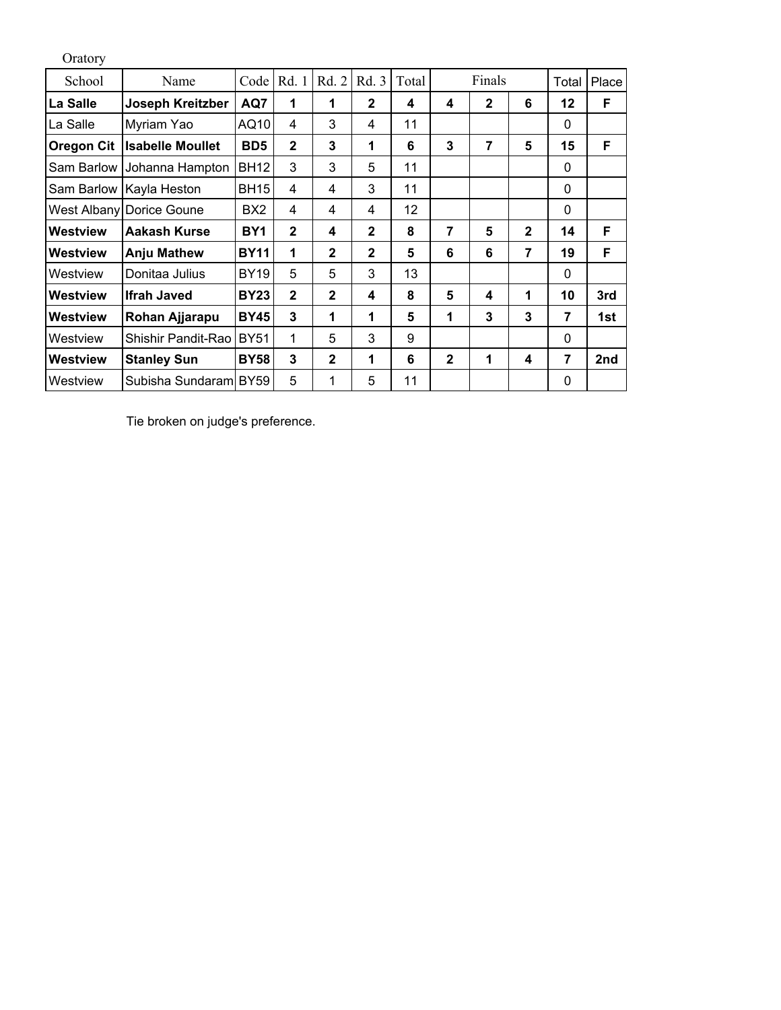| Oratory           |                           |                 |                      |              |                |       |              |              |                |                |       |
|-------------------|---------------------------|-----------------|----------------------|--------------|----------------|-------|--------------|--------------|----------------|----------------|-------|
| School            | Name                      | Code            | Rd. 1                | Rd. 2        | Rd. 3          | Total |              | Finals       |                | Total          | Place |
| La Salle          | Joseph Kreitzber          | AQ7             | 1                    | $\mathbf 1$  | $\mathbf{2}$   | 4     | 4            | $\mathbf{2}$ | 6              | $12 \,$        | F     |
| La Salle          | Myriam Yao                | AQ10            | 4                    | 3            | 4              | 11    |              |              |                | $\Omega$       |       |
| <b>Oregon Cit</b> | <b>Isabelle Moullet</b>   | BD <sub>5</sub> | $\mathbf{2}$         | 3            | 1              | 6     | 3            | 7            | 5              | 15             | F     |
| Sam Barlow        | Johanna Hampton           | <b>BH12</b>     | 3                    | 3            | 5              | 11    |              |              |                | 0              |       |
|                   | Sam Barlow   Kayla Heston | <b>BH15</b>     | 4                    | 4            | 3              | 11    |              |              |                | $\Omega$       |       |
|                   | West Albany Dorice Goune  | BX2             | 4                    | 4            | 4              | 12    |              |              |                | 0              |       |
| Westview          | Aakash Kurse              | BY1             | $\mathbf{2}$         | 4            | $\overline{2}$ | 8     | 7            | 5            | $\mathbf{2}$   | 14             | F     |
| <b>Westview</b>   | <b>Anju Mathew</b>        | <b>BY11</b>     | $\blacktriangleleft$ | $\mathbf{2}$ | $\overline{2}$ | 5     | 6            | 6            | $\overline{7}$ | 19             | F     |
| Westview          | Donitaa Julius            | <b>BY19</b>     | 5                    | 5            | 3              | 13    |              |              |                | 0              |       |
| <b>Westview</b>   | <b>Ifrah Javed</b>        | <b>BY23</b>     | $\mathbf 2$          | $\mathbf{2}$ | 4              | 8     | 5            | 4            | $\mathbf 1$    | 10             | 3rd   |
| Westview          | Rohan Ajjarapu            | <b>BY45</b>     | 3                    | 1            | 1              | 5     | 1            | 3            | 3              | $\overline{7}$ | 1st   |
| Westview          | Shishir Pandit-Rao        | <b>BY51</b>     | 1                    | 5            | 3              | 9     |              |              |                | 0              |       |
| Westview          | <b>Stanley Sun</b>        | <b>BY58</b>     | 3                    | $\mathbf{2}$ | 1              | 6     | $\mathbf{2}$ | 1            | 4              | 7              | 2nd   |
| Westview          | Subisha Sundaraml BY59    |                 | 5                    | 1            | 5              | 11    |              |              |                | $\Omega$       |       |

Tie broken on judge's preference.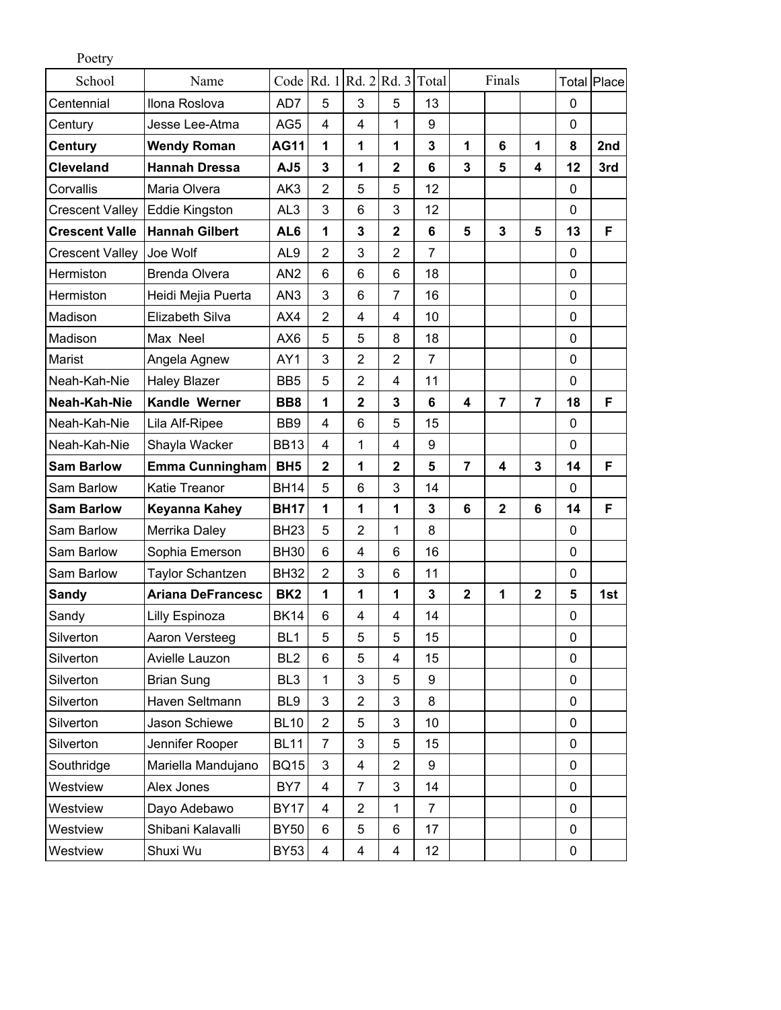| Poetry                 |                          |                 |                         |                                                                                                      |                         |                  |                |                |                         |             |                    |
|------------------------|--------------------------|-----------------|-------------------------|------------------------------------------------------------------------------------------------------|-------------------------|------------------|----------------|----------------|-------------------------|-------------|--------------------|
| School                 | Name                     |                 |                         | Code $\left  \text{Rd. 1} \right $ $\left  \text{Rd. 2} \right $ $\left  \text{Rd. 3} \right $ Total |                         |                  |                | Finals         |                         |             | <b>Total Place</b> |
| Centennial             | Ilona Roslova            | AD7             | 5                       | 3                                                                                                    | 5                       | 13               |                |                |                         | $\mathbf 0$ |                    |
| Century                | Jesse Lee-Atma           | AG5             | 4                       | 4                                                                                                    | 1                       | $\boldsymbol{9}$ |                |                |                         | $\mathbf 0$ |                    |
| Century                | <b>Wendy Roman</b>       | <b>AG11</b>     | $\mathbf{1}$            | 1                                                                                                    | 1                       | 3                | 1              | 6              | 1                       | 8           | 2nd                |
| <b>Cleveland</b>       | <b>Hannah Dressa</b>     | AJ5             | 3                       | 1                                                                                                    | $\overline{2}$          | 6                | 3              | 5              | $\overline{\mathbf{4}}$ | 12          | 3rd                |
| Corvallis              | Maria Olvera             | AK3             | $\overline{2}$          | 5                                                                                                    | 5                       | 12               |                |                |                         | 0           |                    |
| <b>Crescent Valley</b> | Eddie Kingston           | AL <sub>3</sub> | 3                       | 6                                                                                                    | 3                       | 12               |                |                |                         | $\mathbf 0$ |                    |
| <b>Crescent Valle</b>  | <b>Hannah Gilbert</b>    | AL6             | 1                       | 3                                                                                                    | $\overline{2}$          | 6                | 5              | 3              | 5                       | 13          | F                  |
| <b>Crescent Valley</b> | Joe Wolf                 | AL <sub>9</sub> | $\overline{2}$          | 3                                                                                                    | $\overline{2}$          | $\overline{7}$   |                |                |                         | $\mathbf 0$ |                    |
| Hermiston              | <b>Brenda Olvera</b>     | AN <sub>2</sub> | 6                       | 6                                                                                                    | 6                       | 18               |                |                |                         | $\mathbf 0$ |                    |
| Hermiston              | Heidi Mejia Puerta       | AN <sub>3</sub> | 3                       | 6                                                                                                    | $\overline{7}$          | 16               |                |                |                         | $\mathbf 0$ |                    |
| Madison                | <b>Elizabeth Silva</b>   | AX4             | $\overline{2}$          | 4                                                                                                    | 4                       | 10               |                |                |                         | $\mathbf 0$ |                    |
| Madison                | Max Neel                 | AX6             | 5                       | 5                                                                                                    | 8                       | 18               |                |                |                         | $\mathbf 0$ |                    |
| Marist                 | Angela Agnew             | AY1             | 3                       | $\overline{2}$                                                                                       | $\overline{2}$          | $\overline{7}$   |                |                |                         | $\mathbf 0$ |                    |
| Neah-Kah-Nie           | <b>Haley Blazer</b>      | BB <sub>5</sub> | 5                       | $\overline{2}$                                                                                       | 4                       | 11               |                |                |                         | $\mathbf 0$ |                    |
| Neah-Kah-Nie           | Kandle Werner            | BB <sub>8</sub> | 1                       | $\mathbf 2$                                                                                          | 3                       | 6                | 4              | $\overline{7}$ | $\overline{7}$          | 18          | F                  |
| Neah-Kah-Nie           | Lila Alf-Ripee           | BB <sub>9</sub> | 4                       | 6                                                                                                    | 5                       | 15               |                |                |                         | $\mathbf 0$ |                    |
| Neah-Kah-Nie           | Shayla Wacker            | <b>BB13</b>     | 4                       | 1                                                                                                    | 4                       | 9                |                |                |                         | $\mathbf 0$ |                    |
| <b>Sam Barlow</b>      | <b>Emma Cunningham</b>   | BH <sub>5</sub> | $\mathbf 2$             | 1                                                                                                    | $\mathbf 2$             | 5                | $\overline{7}$ | 4              | 3                       | 14          | F                  |
| Sam Barlow             | <b>Katie Treanor</b>     | <b>BH14</b>     | 5                       | 6                                                                                                    | 3                       | 14               |                |                |                         | 0           |                    |
| <b>Sam Barlow</b>      | Keyanna Kahey            | <b>BH17</b>     | 1                       | 1                                                                                                    | 1                       | 3                | 6              | $\mathbf 2$    | 6                       | 14          | F                  |
| Sam Barlow             | Merrika Daley            | <b>BH23</b>     | 5                       | $\overline{2}$                                                                                       | 1                       | 8                |                |                |                         | $\mathbf 0$ |                    |
| Sam Barlow             | Sophia Emerson           | <b>BH30</b>     | 6                       | 4                                                                                                    | 6                       | 16               |                |                |                         | $\mathbf 0$ |                    |
| Sam Barlow             | <b>Taylor Schantzen</b>  | <b>BH32</b>     | $\overline{2}$          | 3                                                                                                    | 6                       | 11               |                |                |                         | $\mathbf 0$ |                    |
| <b>Sandy</b>           | <b>Ariana DeFrancesc</b> | BK <sub>2</sub> | 1                       | 1                                                                                                    | 1                       | 3                | $\mathbf 2$    | 1              | $\mathbf 2$             | 5           | 1st                |
| Sandy                  | Lilly Espinoza           | <b>BK14</b>     | 6                       | 4                                                                                                    | 4                       | 14               |                |                |                         | $\mathbf 0$ |                    |
| Silverton              | Aaron Versteeg           | BL <sub>1</sub> | 5                       | 5                                                                                                    | 5                       | 15               |                |                |                         | $\mathbf 0$ |                    |
| Silverton              | Avielle Lauzon           | BL <sub>2</sub> | 6                       | 5                                                                                                    | 4                       | 15               |                |                |                         | $\mathbf 0$ |                    |
| Silverton              | <b>Brian Sung</b>        | BL <sub>3</sub> | 1                       | 3                                                                                                    | 5                       | 9                |                |                |                         | $\mathbf 0$ |                    |
| Silverton              | Haven Seltmann           | BL <sub>9</sub> | 3                       | $\overline{2}$                                                                                       | 3                       | 8                |                |                |                         | 0           |                    |
| Silverton              | Jason Schiewe            | <b>BL10</b>     | 2                       | 5                                                                                                    | 3                       | 10               |                |                |                         | $\pmb{0}$   |                    |
| Silverton              | Jennifer Rooper          | <b>BL11</b>     | $\overline{7}$          | 3                                                                                                    | 5                       | 15               |                |                |                         | $\mathbf 0$ |                    |
| Southridge             | Mariella Mandujano       | <b>BQ15</b>     | 3                       | 4                                                                                                    | $\overline{2}$          | 9                |                |                |                         | $\mathbf 0$ |                    |
| Westview               | Alex Jones               | BY7             | 4                       | $\overline{7}$                                                                                       | 3                       | 14               |                |                |                         | $\mathbf 0$ |                    |
| Westview               | Dayo Adebawo             | <b>BY17</b>     | 4                       | $\overline{2}$                                                                                       | 1                       | $\overline{7}$   |                |                |                         | $\mathbf 0$ |                    |
| Westview               | Shibani Kalavalli        | <b>BY50</b>     | 6                       | 5                                                                                                    | 6                       | 17               |                |                |                         | $\pmb{0}$   |                    |
| Westview               | Shuxi Wu                 | <b>BY53</b>     | $\overline{\mathbf{4}}$ | 4                                                                                                    | $\overline{\mathbf{4}}$ | 12               |                |                |                         | 0           |                    |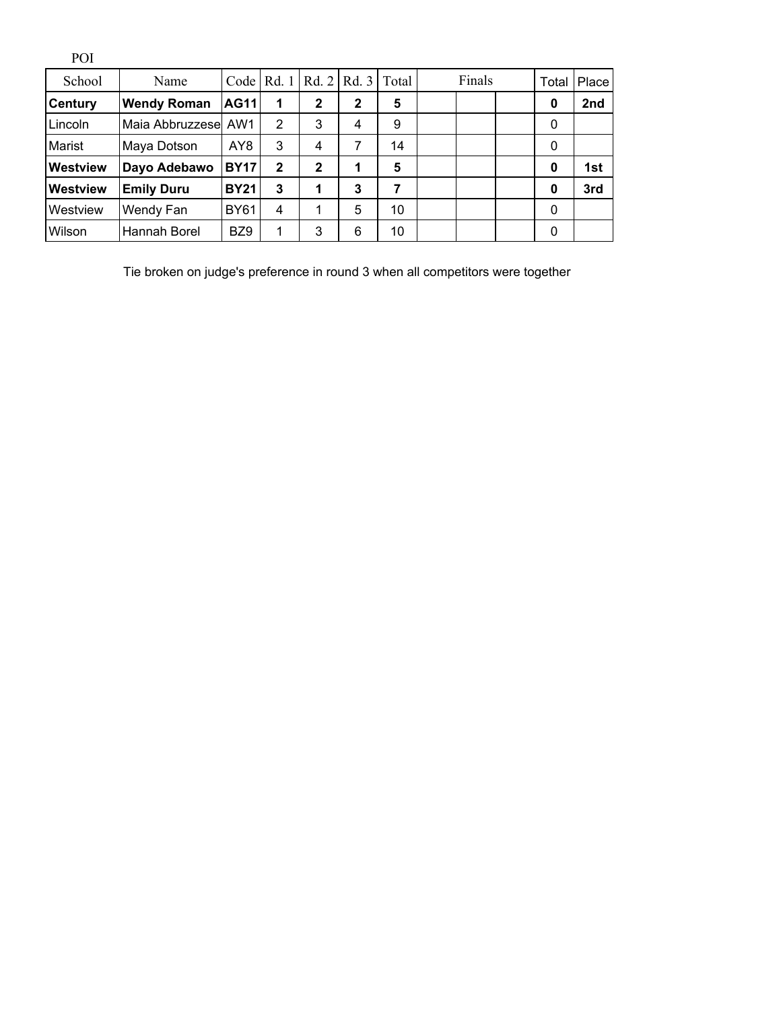| POI             |                      |             |                |              |       |       |        |  |  |             |       |
|-----------------|----------------------|-------------|----------------|--------------|-------|-------|--------|--|--|-------------|-------|
| School          | Name                 | Code        | Rd. 1          | Rd. 2        | Rd. 3 | Total | Finals |  |  | Total       | Place |
| <b>Century</b>  | <b>Wendy Roman</b>   | <b>AG11</b> | 1              | $\mathbf{2}$ | 2     | 5     |        |  |  | 0           | 2nd   |
| Lincoln         | Maia Abbruzzesel AW1 |             | $\overline{2}$ | 3            | 4     | 9     |        |  |  | 0           |       |
| Marist          | Maya Dotson          | AY8         | 3              | 4            | 7     | 14    |        |  |  | $\mathbf 0$ |       |
| <b>Westview</b> | Dayo Adebawo         | <b>BY17</b> | $\mathbf{2}$   | $\mathbf{2}$ | 1     | 5     |        |  |  | 0           | 1st   |
| <b>Westview</b> | <b>Emily Duru</b>    | <b>BY21</b> | 3              | 1            | 3     | 7     |        |  |  | 0           | 3rd   |
| Westview        | Wendy Fan            | <b>BY61</b> | 4              | 1            | 5     | 10    |        |  |  | 0           |       |
| Wilson          | Hannah Borel         | BZ9         |                | 3            | 6     | 10    |        |  |  | 0           |       |

Tie broken on judge's preference in round 3 when all competitors were together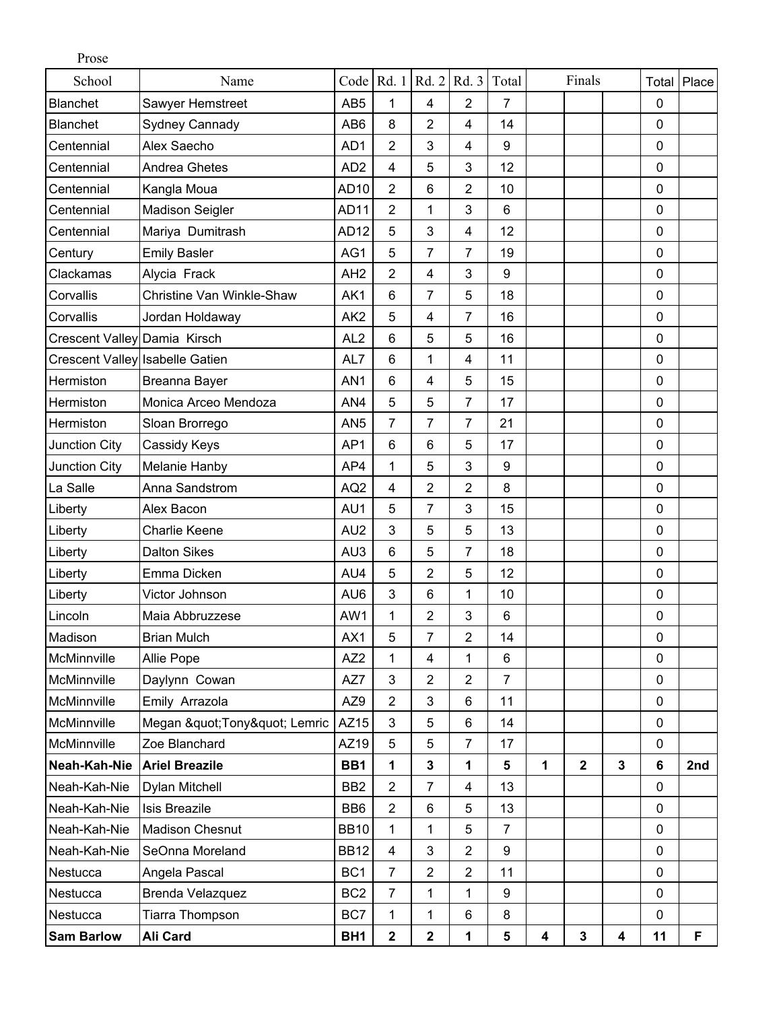| Prose                        |                                 |                  |                 |                |                |                  |   |              |             |           |       |
|------------------------------|---------------------------------|------------------|-----------------|----------------|----------------|------------------|---|--------------|-------------|-----------|-------|
| School                       | Name                            | Code             | Rd. 1           | Rd. 2          | Rd. 3          | Total            |   | Finals       |             | Total     | Place |
| <b>Blanchet</b>              | Sawyer Hemstreet                | AB <sub>5</sub>  | 1               | $\overline{4}$ | $\overline{2}$ | $\overline{7}$   |   |              |             | 0         |       |
| <b>Blanchet</b>              | Sydney Cannady                  | AB <sub>6</sub>  | 8               | $\overline{2}$ | 4              | 14               |   |              |             | 0         |       |
| Centennial                   | Alex Saecho                     | AD1              | $\overline{2}$  | 3              | $\overline{4}$ | $\boldsymbol{9}$ |   |              |             | 0         |       |
| Centennial                   | <b>Andrea Ghetes</b>            | AD <sub>2</sub>  | $\overline{4}$  | 5              | 3              | 12               |   |              |             | 0         |       |
| Centennial                   | Kangla Moua                     | AD10             | $\overline{2}$  | 6              | $\overline{2}$ | 10               |   |              |             | 0         |       |
| Centennial                   | <b>Madison Seigler</b>          | AD <sub>11</sub> | $\overline{2}$  | 1              | 3              | $6\phantom{1}$   |   |              |             | 0         |       |
| Centennial                   | Mariya Dumitrash                | AD <sub>12</sub> | 5               | 3              | $\overline{4}$ | 12               |   |              |             | 0         |       |
| Century                      | <b>Emily Basler</b>             | AG1              | 5               | 7              | 7              | 19               |   |              |             | 0         |       |
| Clackamas                    | Alycia Frack                    | AH <sub>2</sub>  | $\overline{2}$  | 4              | 3              | 9                |   |              |             | 0         |       |
| Corvallis                    | Christine Van Winkle-Shaw       | AK1              | $6\phantom{1}$  | $\overline{7}$ | 5              | 18               |   |              |             | 0         |       |
| Corvallis                    | Jordan Holdaway                 | AK <sub>2</sub>  | 5               | $\overline{4}$ | $\overline{7}$ | 16               |   |              |             | 0         |       |
| Crescent Valley Damia Kirsch |                                 | AL <sub>2</sub>  | 6               | 5              | 5              | 16               |   |              |             | 0         |       |
|                              | Crescent Valley Isabelle Gatien | AL7              | 6               | 1              | 4              | 11               |   |              |             | 0         |       |
| Hermiston                    | Breanna Bayer                   | AN <sub>1</sub>  | 6               | 4              | 5              | 15               |   |              |             | 0         |       |
| Hermiston                    | Monica Arceo Mendoza            | AN4              | 5               | 5              | $\overline{7}$ | 17               |   |              |             | 0         |       |
| Hermiston                    | Sloan Brorrego                  | AN <sub>5</sub>  | $\overline{7}$  | $\overline{7}$ | $\overline{7}$ | 21               |   |              |             | 0         |       |
| Junction City                | Cassidy Keys                    | AP1              | $6\phantom{1}6$ | 6              | 5              | 17               |   |              |             | $\pmb{0}$ |       |
| Junction City                | Melanie Hanby                   | AP4              | 1               | 5              | 3              | 9                |   |              |             | 0         |       |
| La Salle                     | Anna Sandstrom                  | AQ <sub>2</sub>  | $\overline{4}$  | $\overline{2}$ | $\overline{2}$ | 8                |   |              |             | 0         |       |
| Liberty                      | Alex Bacon                      | AU1              | 5               | 7              | 3              | 15               |   |              |             | 0         |       |
| Liberty                      | <b>Charlie Keene</b>            | AU <sub>2</sub>  | 3               | 5              | 5              | 13               |   |              |             | 0         |       |
| Liberty                      | <b>Dalton Sikes</b>             | AU3              | $6\phantom{1}$  | 5              | $\overline{7}$ | 18               |   |              |             | 0         |       |
| Liberty                      | Emma Dicken                     | AU4              | 5               | 2              | 5              | 12               |   |              |             | 0         |       |
| Liberty                      | Victor Johnson                  | AU6              | 3               | 6              | 1              | 10               |   |              |             | 0         |       |
| Lincoln                      | Maia Abbruzzese                 | AW1              | 1               | 2              | 3              | $6\phantom{1}$   |   |              |             | 0         |       |
| Madison                      | <b>Brian Mulch</b>              | AX1              | 5               | $\overline{7}$ | $\overline{2}$ | 14               |   |              |             | 0         |       |
| McMinnville                  | Allie Pope                      | AZ <sub>2</sub>  | 1               | 4              | 1              | 6                |   |              |             | 0         |       |
| McMinnville                  | Daylynn Cowan                   | AZ7              | 3               | $\overline{2}$ | $\overline{2}$ | $\overline{7}$   |   |              |             | 0         |       |
| McMinnville                  | Emily Arrazola                  | AZ9              | $\sqrt{2}$      | 3              | $6\phantom{1}$ | 11               |   |              |             | $\pmb{0}$ |       |
| McMinnville                  | Megan " Tony" Lemric            | AZ15             | 3               | 5              | $6\phantom{1}$ | 14               |   |              |             | 0         |       |
| McMinnville                  | Zoe Blanchard                   | AZ19             | 5               | 5              | $\overline{7}$ | 17               |   |              |             | 0         |       |
| Neah-Kah-Nie                 | <b>Ariel Breazile</b>           | BB1              | 1               | 3              | 1              | 5                | 1 | $\mathbf{2}$ | $\mathbf 3$ | 6         | 2nd   |
| Neah-Kah-Nie                 | <b>Dylan Mitchell</b>           | BB <sub>2</sub>  | $\overline{2}$  | 7              | 4              | 13               |   |              |             | 0         |       |
| Neah-Kah-Nie                 | <b>Isis Breazile</b>            | BB <sub>6</sub>  | $\overline{2}$  | 6              | 5              | 13               |   |              |             | 0         |       |
| Neah-Kah-Nie                 | <b>Madison Chesnut</b>          | <b>BB10</b>      | 1               | 1              | $\overline{5}$ | $\overline{7}$   |   |              |             | 0         |       |
| Neah-Kah-Nie                 | SeOnna Moreland                 | <b>BB12</b>      | $\overline{4}$  | 3              | $\overline{2}$ | $\boldsymbol{9}$ |   |              |             | 0         |       |
| Nestucca                     | Angela Pascal                   | BC <sub>1</sub>  | $\overline{7}$  | $\overline{2}$ | $\overline{2}$ | 11               |   |              |             | 0         |       |
| Nestucca                     | Brenda Velazquez                | BC <sub>2</sub>  | $\overline{7}$  | 1              | 1              | $\boldsymbol{9}$ |   |              |             | 0         |       |
| Nestucca                     | Tiarra Thompson                 | BC7              | $\mathbf 1$     | $\mathbf{1}$   | $6\phantom{1}$ | 8                |   |              |             | 0         |       |
| <b>Sam Barlow</b>            | Ali Card                        | BH <sub>1</sub>  | $\mathbf 2$     | $\mathbf 2$    | 1              | 5                | 4 | $\mathbf 3$  | 4           | 11        | F     |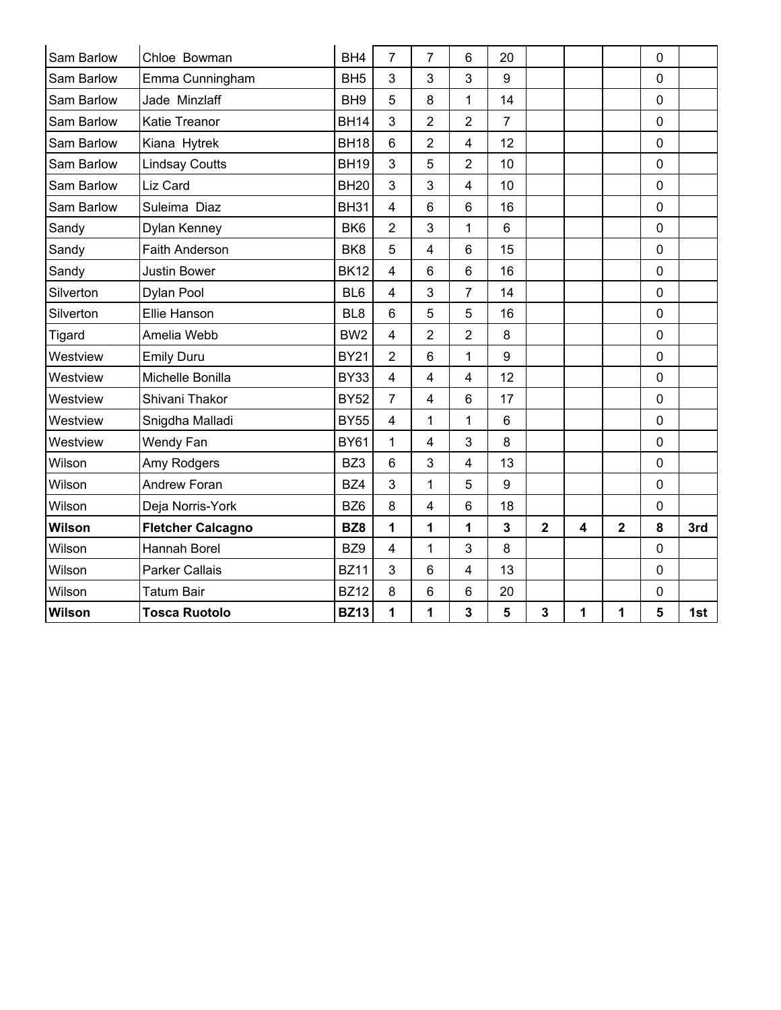| Sam Barlow    | Chloe Bowman             | BH <sub>4</sub> | $\overline{7}$          | $\overline{7}$          | $6\phantom{1}$ | 20             |                |   |                | $\mathbf 0$ |     |
|---------------|--------------------------|-----------------|-------------------------|-------------------------|----------------|----------------|----------------|---|----------------|-------------|-----|
| Sam Barlow    | Emma Cunningham          | BH <sub>5</sub> | 3                       | 3                       | 3              | 9              |                |   |                | $\pmb{0}$   |     |
| Sam Barlow    | Jade Minzlaff            | BH <sub>9</sub> | $\overline{5}$          | 8                       | 1              | 14             |                |   |                | 0           |     |
| Sam Barlow    | Katie Treanor            | <b>BH14</b>     | 3                       | $\overline{2}$          | $\overline{2}$ | $\overline{7}$ |                |   |                | $\mathbf 0$ |     |
| Sam Barlow    | Kiana Hytrek             | <b>BH18</b>     | $6\phantom{1}$          | $\overline{2}$          | $\overline{4}$ | 12             |                |   |                | 0           |     |
| Sam Barlow    | <b>Lindsay Coutts</b>    | <b>BH19</b>     | 3                       | 5                       | $\overline{2}$ | 10             |                |   |                | $\pmb{0}$   |     |
| Sam Barlow    | Liz Card                 | <b>BH20</b>     | 3                       | 3                       | $\overline{4}$ | 10             |                |   |                | 0           |     |
| Sam Barlow    | Suleima Diaz             | <b>BH31</b>     | $\overline{4}$          | 6                       | $6\phantom{1}$ | 16             |                |   |                | 0           |     |
| Sandy         | Dylan Kenney             | BK <sub>6</sub> | $\overline{2}$          | 3                       | $\mathbf{1}$   | 6              |                |   |                | $\mathbf 0$ |     |
| Sandy         | <b>Faith Anderson</b>    | BK <sub>8</sub> | 5                       | $\overline{4}$          | $6\phantom{1}$ | 15             |                |   |                | $\mathbf 0$ |     |
| Sandy         | <b>Justin Bower</b>      | <b>BK12</b>     | $\overline{4}$          | 6                       | 6              | 16             |                |   |                | 0           |     |
| Silverton     | Dylan Pool               | BL <sub>6</sub> | $\overline{4}$          | 3                       | $\overline{7}$ | 14             |                |   |                | $\pmb{0}$   |     |
| Silverton     | Ellie Hanson             | BL <sub>8</sub> | $6\phantom{1}$          | 5                       | 5              | 16             |                |   |                | 0           |     |
| Tigard        | Amelia Webb              | BW <sub>2</sub> | $\overline{4}$          | $\overline{2}$          | $\overline{2}$ | 8              |                |   |                | $\pmb{0}$   |     |
| Westview      | <b>Emily Duru</b>        | <b>BY21</b>     | $\overline{2}$          | 6                       | 1              | 9              |                |   |                | 0           |     |
| Westview      | Michelle Bonilla         | <b>BY33</b>     | $\overline{\mathbf{4}}$ | $\overline{4}$          | $\overline{4}$ | 12             |                |   |                | $\pmb{0}$   |     |
| Westview      | Shivani Thakor           | <b>BY52</b>     | $\overline{7}$          | $\overline{4}$          | 6              | 17             |                |   |                | 0           |     |
| Westview      | Snigdha Malladi          | <b>BY55</b>     | $\overline{4}$          | 1                       | 1              | 6              |                |   |                | $\pmb{0}$   |     |
| Westview      | Wendy Fan                | <b>BY61</b>     | 1                       | $\overline{4}$          | 3              | 8              |                |   |                | 0           |     |
| Wilson        | Amy Rodgers              | BZ3             | $6\phantom{1}$          | 3                       | 4              | 13             |                |   |                | 0           |     |
| Wilson        | Andrew Foran             | BZ4             | 3                       | $\mathbf{1}$            | 5              | 9              |                |   |                | 0           |     |
| Wilson        | Deja Norris-York         | BZ <sub>6</sub> | 8                       | $\overline{\mathbf{4}}$ | $6\phantom{1}$ | 18             |                |   |                | $\pmb{0}$   |     |
| <b>Wilson</b> | <b>Fletcher Calcagno</b> | BZ <sub>8</sub> | 1                       | 1                       | 1              | $\overline{3}$ | $\overline{2}$ | 4 | $\overline{2}$ | 8           | 3rd |
| Wilson        | Hannah Borel             | BZ9             | 4                       | 1                       | 3              | 8              |                |   |                | 0           |     |
| Wilson        | <b>Parker Callais</b>    | <b>BZ11</b>     | 3                       | $6\phantom{1}$          | $\overline{4}$ | 13             |                |   |                | 0           |     |
| Wilson        | <b>Tatum Bair</b>        | <b>BZ12</b>     | 8                       | 6                       | 6              | 20             |                |   |                | $\pmb{0}$   |     |
| <b>Wilson</b> | <b>Tosca Ruotolo</b>     | <b>BZ13</b>     | 1                       | 1                       | 3              | 5              | 3              | 1 | 1              | 5           | 1st |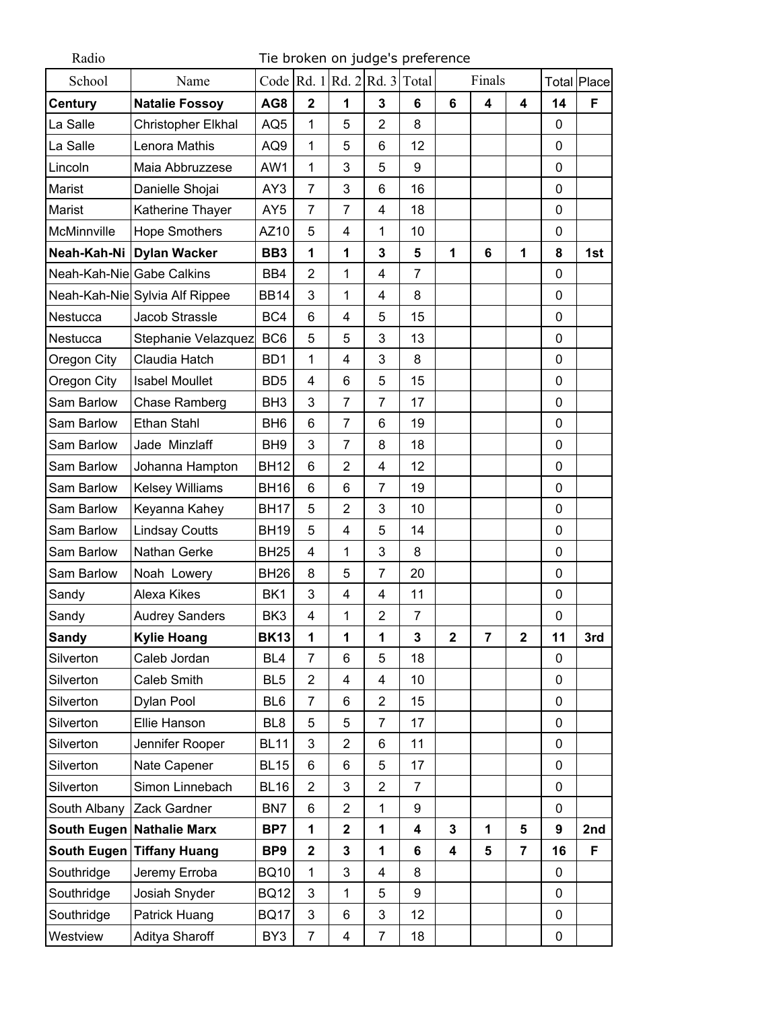| Radio                     | Tie broken on judge's preference |                 |                         |                |                                    |                |                         |                |                         |          |             |
|---------------------------|----------------------------------|-----------------|-------------------------|----------------|------------------------------------|----------------|-------------------------|----------------|-------------------------|----------|-------------|
| School                    | Name                             |                 |                         |                | Code Rd. $1$ Rd. $2$ Rd. $3$ Total |                |                         | Finals         |                         |          | Total Place |
| <b>Century</b>            | <b>Natalie Fossoy</b>            | AG8             | $\overline{2}$          | 1              | 3                                  | 6              | 6                       | 4              | $\overline{\mathbf{4}}$ | 14       | F           |
| La Salle                  | Christopher Elkhal               | AQ <sub>5</sub> | $\mathbf{1}$            | 5              | $\overline{2}$                     | 8              |                         |                |                         | $\Omega$ |             |
| La Salle                  | Lenora Mathis                    | AQ9             | 1                       | 5              | 6                                  | 12             |                         |                |                         | 0        |             |
| Lincoln                   | Maia Abbruzzese                  | AW1             | 1                       | 3              | 5                                  | 9              |                         |                |                         | 0        |             |
| Marist                    | Danielle Shojai                  | AY3             | $\overline{7}$          | 3              | 6                                  | 16             |                         |                |                         | 0        |             |
| Marist                    | Katherine Thayer                 | AY <sub>5</sub> | 7                       | 7              | 4                                  | 18             |                         |                |                         | 0        |             |
| McMinnville               | <b>Hope Smothers</b>             | AZ10            | 5                       | 4              | 1                                  | 10             |                         |                |                         | $\Omega$ |             |
| Neah-Kah-Ni               | <b>Dylan Wacker</b>              | BB <sub>3</sub> | 1                       | 1              | 3                                  | 5              | 1                       | 6              | 1                       | 8        | 1st         |
| Neah-Kah-Nie Gabe Calkins |                                  | BB4             | $\overline{2}$          | 1              | 4                                  | 7              |                         |                |                         | 0        |             |
|                           | Neah-Kah-Nie Sylvia Alf Rippee   | <b>BB14</b>     | 3                       | 1              | 4                                  | 8              |                         |                |                         | 0        |             |
| <b>Nestucca</b>           | Jacob Strassle                   | BC4             | 6                       | 4              | 5                                  | 15             |                         |                |                         | 0        |             |
| Nestucca                  | Stephanie Velazquez              | BC <sub>6</sub> | 5                       | 5              | 3                                  | 13             |                         |                |                         | 0        |             |
| Oregon City               | Claudia Hatch                    | BD <sub>1</sub> | 1                       | 4              | 3                                  | 8              |                         |                |                         | 0        |             |
| Oregon City               | <b>Isabel Moullet</b>            | BD <sub>5</sub> | 4                       | 6              | 5                                  | 15             |                         |                |                         | 0        |             |
| Sam Barlow                | Chase Ramberg                    | BH <sub>3</sub> | 3                       | $\overline{7}$ | $\overline{7}$                     | 17             |                         |                |                         | 0        |             |
| Sam Barlow                | Ethan Stahl                      | BH <sub>6</sub> | 6                       | $\overline{7}$ | 6                                  | 19             |                         |                |                         | 0        |             |
| Sam Barlow                | Jade Minzlaff                    | BH <sub>9</sub> | 3                       | $\overline{7}$ | 8                                  | 18             |                         |                |                         | 0        |             |
| Sam Barlow                | Johanna Hampton                  | <b>BH12</b>     | 6                       | 2              | 4                                  | 12             |                         |                |                         | 0        |             |
| Sam Barlow                | <b>Kelsey Williams</b>           | <b>BH16</b>     | 6                       | 6              | $\overline{7}$                     | 19             |                         |                |                         | 0        |             |
| Sam Barlow                | Keyanna Kahey                    | <b>BH17</b>     | 5                       | $\overline{2}$ | 3                                  | 10             |                         |                |                         | 0        |             |
| Sam Barlow                | <b>Lindsay Coutts</b>            | <b>BH19</b>     | 5                       | 4              | 5                                  | 14             |                         |                |                         | 0        |             |
| Sam Barlow                | Nathan Gerke                     | <b>BH25</b>     | 4                       | 1              | 3                                  | 8              |                         |                |                         | 0        |             |
| Sam Barlow                | Noah Lowery                      | <b>BH26</b>     | 8                       | 5              | 7                                  | 20             |                         |                |                         | 0        |             |
| Sandy                     | Alexa Kikes                      | BK <sub>1</sub> | 3                       | 4              | 4                                  | 11             |                         |                |                         | 0        |             |
| Sandy                     | <b>Audrey Sanders</b>            | BK3             | 4                       | 1              | $\overline{2}$                     | $\overline{7}$ |                         |                |                         | 0        |             |
| <b>Sandy</b>              | <b>Kylie Hoang</b>               | <b>BK13</b>     | $\mathbf{1}$            | $\mathbf{1}$   | 1                                  | 3              | $\overline{\mathbf{2}}$ | $\overline{7}$ | $\overline{2}$          | 11       | 3rd         |
| Silverton                 | Caleb Jordan                     | BL <sub>4</sub> | $\overline{7}$          | 6              | 5                                  | 18             |                         |                |                         | 0        |             |
| Silverton                 | Caleb Smith                      | BL <sub>5</sub> | $\overline{2}$          | $\overline{4}$ | 4                                  | 10             |                         |                |                         | 0        |             |
| Silverton                 | Dylan Pool                       | BL <sub>6</sub> | $\overline{7}$          | 6              | $\overline{2}$                     | 15             |                         |                |                         | 0        |             |
| Silverton                 | Ellie Hanson                     | BL <sub>8</sub> | 5                       | 5              | 7                                  | 17             |                         |                |                         | 0        |             |
| Silverton                 | Jennifer Rooper                  | <b>BL11</b>     | 3                       | $\overline{2}$ | 6                                  | 11             |                         |                |                         | 0        |             |
| Silverton                 | Nate Capener                     | <b>BL15</b>     | 6                       | 6              | 5                                  | 17             |                         |                |                         | 0        |             |
| Silverton                 | Simon Linnebach                  | <b>BL16</b>     | $\overline{2}$          | 3              | $\overline{2}$                     | 7              |                         |                |                         | 0        |             |
| South Albany              | Zack Gardner                     | BN7             | 6                       | $\overline{2}$ | $\mathbf{1}$                       | 9              |                         |                |                         | 0        |             |
|                           | South Eugen Nathalie Marx        | BP7             | $\mathbf{1}$            | $\mathbf 2$    | 1                                  | 4              | $\mathbf{3}$            | 1              | $5\phantom{a}$          | 9        | 2nd         |
|                           | South Eugen Tiffany Huang        | BP <sub>9</sub> | $\overline{\mathbf{2}}$ | 3              | 1                                  | 6              | $\overline{\mathbf{4}}$ | 5              | $\overline{7}$          | 16       | F           |
| Southridge                | Jeremy Erroba                    | <b>BQ10</b>     | 1                       | 3              | 4                                  | 8              |                         |                |                         | 0        |             |
| Southridge                | Josiah Snyder                    | <b>BQ12</b>     | 3                       | 1              | 5                                  | 9              |                         |                |                         | 0        |             |
| Southridge                | Patrick Huang                    | <b>BQ17</b>     | 3                       | 6              | 3                                  | 12             |                         |                |                         | 0        |             |
| Westview                  | Aditya Sharoff                   | BY3             | $\overline{7}$          | 4              | $\overline{7}$                     | 18             |                         |                |                         | 0        |             |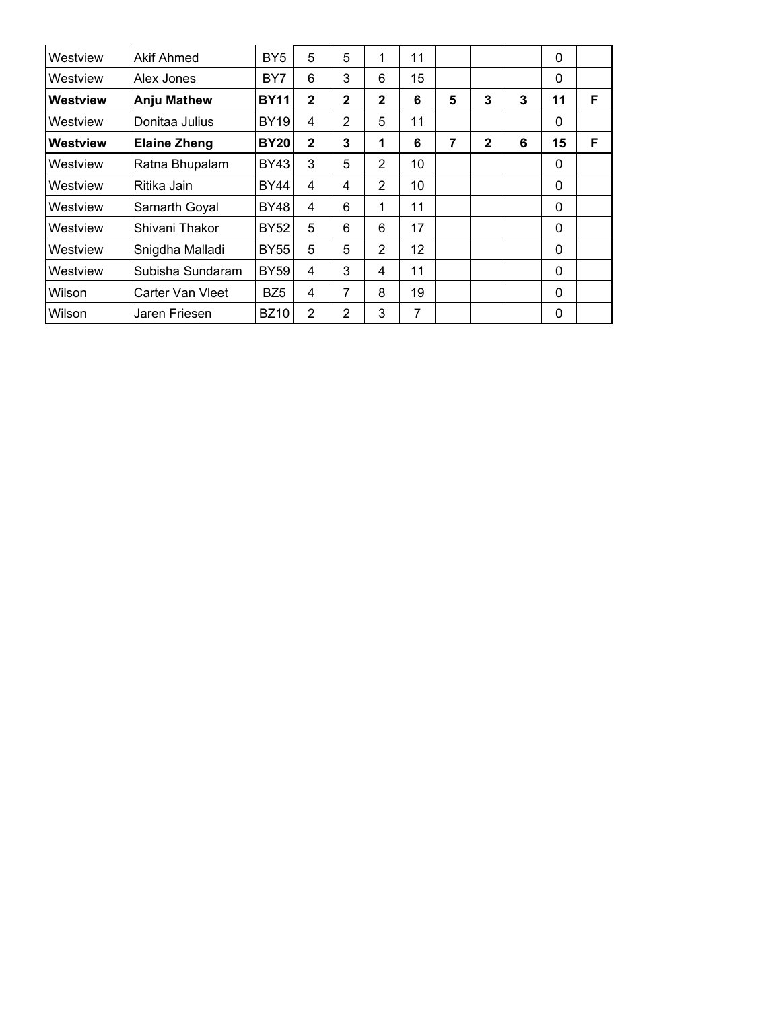| Westview | <b>Akif Ahmed</b>   | BY <sub>5</sub> | 5            | 5              | 1              | 11 |   |              |   | $\mathbf 0$ |   |
|----------|---------------------|-----------------|--------------|----------------|----------------|----|---|--------------|---|-------------|---|
| Westview | Alex Jones          | BY7             | 6            | 3              | 6              | 15 |   |              |   | 0           |   |
| Westview | <b>Anju Mathew</b>  | <b>BY11</b>     | $\mathbf{2}$ | $\mathbf{2}$   | $\mathbf{2}$   | 6  | 5 | 3            | 3 | 11          | F |
| Westview | Donitaa Julius      | <b>BY19</b>     | 4            | 2              | 5              | 11 |   |              |   | 0           |   |
| Westview | <b>Elaine Zheng</b> | <b>BY20</b>     | $\mathbf{2}$ | 3              | 1              | 6  | 7 | $\mathbf{2}$ | 6 | 15          | F |
| Westview | Ratna Bhupalam      | BY43            | 3            | 5              | 2              | 10 |   |              |   | 0           |   |
| Westview | Ritika Jain         | BY44            | 4            | 4              | $\overline{2}$ | 10 |   |              |   | 0           |   |
| Westview | Samarth Goyal       | BY48            | 4            | 6              | 1              | 11 |   |              |   | 0           |   |
| Westview | Shivani Thakor      | BY52            | 5            | 6              | 6              | 17 |   |              |   | 0           |   |
| Westview | Snigdha Malladi     | BY55            | 5            | 5              | 2              | 12 |   |              |   | 0           |   |
| Westview | Subisha Sundaram    | <b>BY59</b>     | 4            | 3              | 4              | 11 |   |              |   | 0           |   |
| Wilson   | Carter Van Vleet    | BZ5             | 4            | 7              | 8              | 19 |   |              |   | 0           |   |
| Wilson   | Jaren Friesen       | <b>BZ10</b>     | 2            | $\overline{2}$ | 3              | 7  |   |              |   | 0           |   |